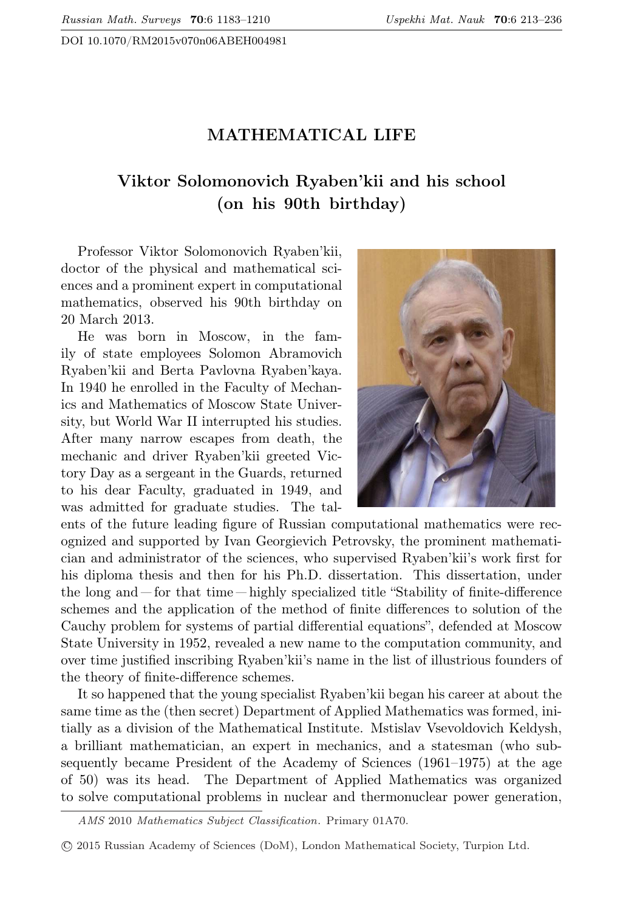DOI 10.1070/RM2015v070n06ABEH004981

## MATHEMATICAL LIFE

## Viktor Solomonovich Ryaben'kii and his school (on his 90th birthday)

Professor Viktor Solomonovich Ryaben'kii, doctor of the physical and mathematical sciences and a prominent expert in computational mathematics, observed his 90th birthday on 20 March 2013.

He was born in Moscow, in the family of state employees Solomon Abramovich Ryaben'kii and Berta Pavlovna Ryaben'kaya. In 1940 he enrolled in the Faculty of Mechanics and Mathematics of Moscow State University, but World War II interrupted his studies. After many narrow escapes from death, the mechanic and driver Ryaben'kii greeted Victory Day as a sergeant in the Guards, returned to his dear Faculty, graduated in 1949, and was admitted for graduate studies. The tal-



ents of the future leading figure of Russian computational mathematics were recognized and supported by Ivan Georgievich Petrovsky, the prominent mathematician and administrator of the sciences, who supervised Ryaben'kii's work first for his diploma thesis and then for his Ph.D. dissertation. This dissertation, under the long and — for that time — highly specialized title "Stability of finite-difference schemes and the application of the method of finite differences to solution of the Cauchy problem for systems of partial differential equations", defended at Moscow State University in 1952, revealed a new name to the computation community, and over time justified inscribing Ryaben'kii's name in the list of illustrious founders of the theory of finite-difference schemes.

It so happened that the young specialist Ryaben'kii began his career at about the same time as the (then secret) Department of Applied Mathematics was formed, initially as a division of the Mathematical Institute. Mstislav Vsevoldovich Keldysh, a brilliant mathematician, an expert in mechanics, and a statesman (who subsequently became President of the Academy of Sciences (1961–1975) at the age of 50) was its head. The Department of Applied Mathematics was organized to solve computational problems in nuclear and thermonuclear power generation,

AMS 2010 Mathematics Subject Classification. Primary 01A70.

<sup>⃝</sup>c 2015 Russian Academy of Sciences (DoM), London Mathematical Society, Turpion Ltd.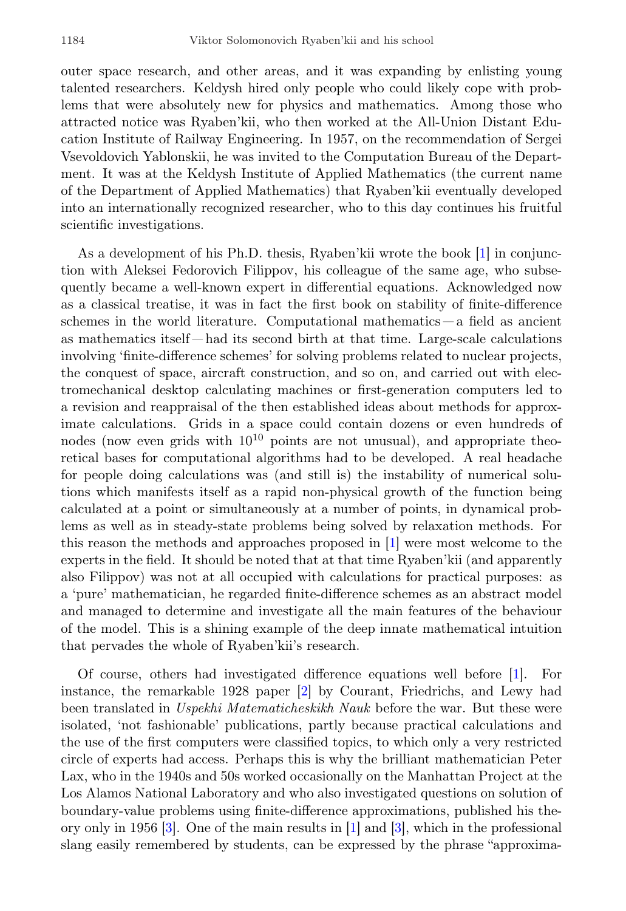outer space research, and other areas, and it was expanding by enlisting young talented researchers. Keldysh hired only people who could likely cope with problems that were absolutely new for physics and mathematics. Among those who attracted notice was Ryaben'kii, who then worked at the All-Union Distant Education Institute of Railway Engineering. In 1957, on the recommendation of Sergei Vsevoldovich Yablonskii, he was invited to the Computation Bureau of the Department. It was at the Keldysh Institute of Applied Mathematics (the current name of the Department of Applied Mathematics) that Ryaben'kii eventually developed into an internationally recognized researcher, who to this day continues his fruitful scientific investigations.

As a development of his Ph.D. thesis, Ryaben'kii wrote the book [\[1\]](#page-19-0) in conjunction with Aleksei Fedorovich Filippov, his colleague of the same age, who subsequently became a well-known expert in differential equations. Acknowledged now as a classical treatise, it was in fact the first book on stability of finite-difference schemes in the world literature. Computational mathematics — a field as ancient as mathematics itself — had its second birth at that time. Large-scale calculations involving 'finite-difference schemes' for solving problems related to nuclear projects, the conquest of space, aircraft construction, and so on, and carried out with electromechanical desktop calculating machines or first-generation computers led to a revision and reappraisal of the then established ideas about methods for approximate calculations. Grids in a space could contain dozens or even hundreds of nodes (now even grids with  $10^{10}$  points are not unusual), and appropriate theoretical bases for computational algorithms had to be developed. A real headache for people doing calculations was (and still is) the instability of numerical solutions which manifests itself as a rapid non-physical growth of the function being calculated at a point or simultaneously at a number of points, in dynamical problems as well as in steady-state problems being solved by relaxation methods. For this reason the methods and approaches proposed in [\[1\]](#page-19-0) were most welcome to the experts in the field. It should be noted that at that time Ryaben'kii (and apparently also Filippov) was not at all occupied with calculations for practical purposes: as a 'pure' mathematician, he regarded finite-difference schemes as an abstract model and managed to determine and investigate all the main features of the behaviour of the model. This is a shining example of the deep innate mathematical intuition that pervades the whole of Ryaben'kii's research.

Of course, others had investigated difference equations well before [\[1\]](#page-19-0). For instance, the remarkable 1928 paper [\[2\]](#page-19-1) by Courant, Friedrichs, and Lewy had been translated in Uspekhi Matematicheskikh Nauk before the war. But these were isolated, 'not fashionable' publications, partly because practical calculations and the use of the first computers were classified topics, to which only a very restricted circle of experts had access. Perhaps this is why the brilliant mathematician Peter Lax, who in the 1940s and 50s worked occasionally on the Manhattan Project at the Los Alamos National Laboratory and who also investigated questions on solution of boundary-value problems using finite-difference approximations, published his theory only in 1956 [\[3\]](#page-19-2). One of the main results in [\[1\]](#page-19-0) and [\[3\]](#page-19-2), which in the professional slang easily remembered by students, can be expressed by the phrase "approxima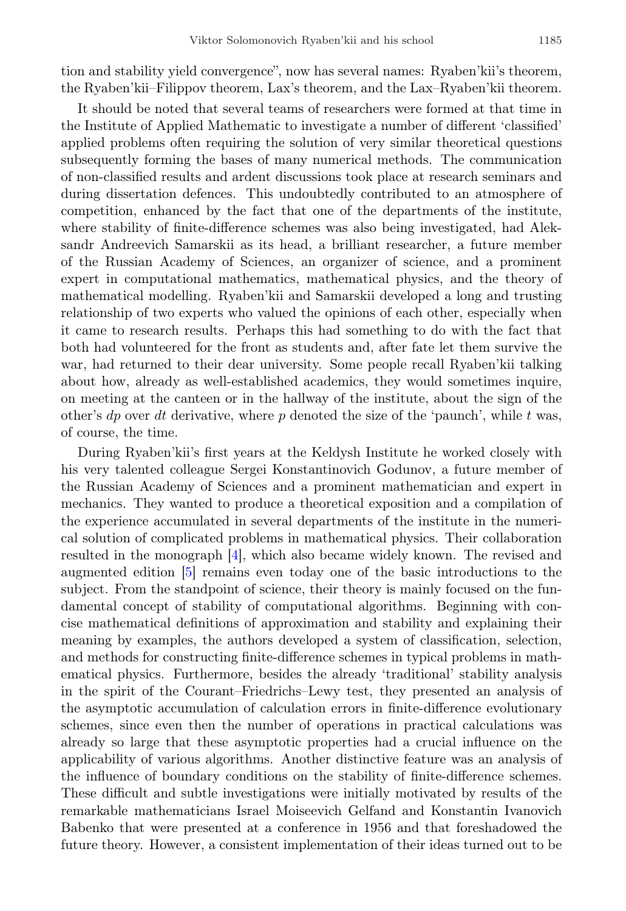tion and stability yield convergence", now has several names: Ryaben'kii's theorem, the Ryaben'kii–Filippov theorem, Lax's theorem, and the Lax–Ryaben'kii theorem.

It should be noted that several teams of researchers were formed at that time in the Institute of Applied Mathematic to investigate a number of different 'classified' applied problems often requiring the solution of very similar theoretical questions subsequently forming the bases of many numerical methods. The communication of non-classified results and ardent discussions took place at research seminars and during dissertation defences. This undoubtedly contributed to an atmosphere of competition, enhanced by the fact that one of the departments of the institute, where stability of finite-difference schemes was also being investigated, had Aleksandr Andreevich Samarskii as its head, a brilliant researcher, a future member of the Russian Academy of Sciences, an organizer of science, and a prominent expert in computational mathematics, mathematical physics, and the theory of mathematical modelling. Ryaben'kii and Samarskii developed a long and trusting relationship of two experts who valued the opinions of each other, especially when it came to research results. Perhaps this had something to do with the fact that both had volunteered for the front as students and, after fate let them survive the war, had returned to their dear university. Some people recall Ryaben'kii talking about how, already as well-established academics, they would sometimes inquire, on meeting at the canteen or in the hallway of the institute, about the sign of the other's dp over dt derivative, where p denoted the size of the 'paunch', while t was, of course, the time.

During Ryaben'kii's first years at the Keldysh Institute he worked closely with his very talented colleague Sergei Konstantinovich Godunov, a future member of the Russian Academy of Sciences and a prominent mathematician and expert in mechanics. They wanted to produce a theoretical exposition and a compilation of the experience accumulated in several departments of the institute in the numerical solution of complicated problems in mathematical physics. Their collaboration resulted in the monograph [\[4\]](#page-19-3), which also became widely known. The revised and augmented edition [\[5\]](#page-20-0) remains even today one of the basic introductions to the subject. From the standpoint of science, their theory is mainly focused on the fundamental concept of stability of computational algorithms. Beginning with concise mathematical definitions of approximation and stability and explaining their meaning by examples, the authors developed a system of classification, selection, and methods for constructing finite-difference schemes in typical problems in mathematical physics. Furthermore, besides the already 'traditional' stability analysis in the spirit of the Courant–Friedrichs–Lewy test, they presented an analysis of the asymptotic accumulation of calculation errors in finite-difference evolutionary schemes, since even then the number of operations in practical calculations was already so large that these asymptotic properties had a crucial influence on the applicability of various algorithms. Another distinctive feature was an analysis of the influence of boundary conditions on the stability of finite-difference schemes. These difficult and subtle investigations were initially motivated by results of the remarkable mathematicians Israel Moiseevich Gelfand and Konstantin Ivanovich Babenko that were presented at a conference in 1956 and that foreshadowed the future theory. However, a consistent implementation of their ideas turned out to be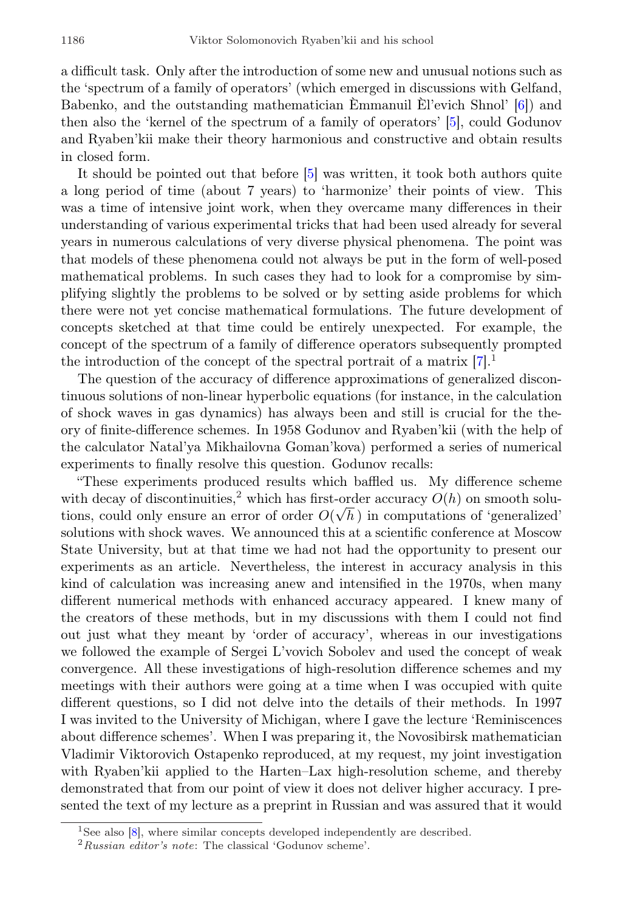a difficult task. Only after the introduction of some new and unusual notions such as the 'spectrum of a family of operators' (which emerged in discussions with Gelfand, Babenko, and the outstanding mathematician  $\hat{E}$ mmanuil  $\hat{E}$ l'evich Shnol' [[6\]](#page-20-1)) and then also the 'kernel of the spectrum of a family of operators' [\[5\]](#page-20-0), could Godunov and Ryaben'kii make their theory harmonious and constructive and obtain results in closed form.

It should be pointed out that before [\[5\]](#page-20-0) was written, it took both authors quite a long period of time (about 7 years) to 'harmonize' their points of view. This was a time of intensive joint work, when they overcame many differences in their understanding of various experimental tricks that had been used already for several years in numerous calculations of very diverse physical phenomena. The point was that models of these phenomena could not always be put in the form of well-posed mathematical problems. In such cases they had to look for a compromise by simplifying slightly the problems to be solved or by setting aside problems for which there were not yet concise mathematical formulations. The future development of concepts sketched at that time could be entirely unexpected. For example, the concept of the spectrum of a family of difference operators subsequently prompted the introduction of the concept of the spectral portrait of a matrix  $[7]$ <sup>[1](#page-3-0)</sup>.

The question of the accuracy of difference approximations of generalized discontinuous solutions of non-linear hyperbolic equations (for instance, in the calculation of shock waves in gas dynamics) has always been and still is crucial for the theory of finite-difference schemes. In 1958 Godunov and Ryaben'kii (with the help of the calculator Natal'ya Mikhailovna Goman'kova) performed a series of numerical experiments to finally resolve this question. Godunov recalls:

"These experiments produced results which baffled us. My difference scheme with decay of discontinuities,<sup>[2](#page-3-1)</sup> which has first-order accuracy  $O(h)$  on smooth solutions, could only ensure an error of order  $O(\sqrt{h})$  in computations of 'generalized' solutions with shock waves. We announced this at a scientific conference at Moscow State University, but at that time we had not had the opportunity to present our experiments as an article. Nevertheless, the interest in accuracy analysis in this kind of calculation was increasing anew and intensified in the 1970s, when many different numerical methods with enhanced accuracy appeared. I knew many of the creators of these methods, but in my discussions with them I could not find out just what they meant by 'order of accuracy', whereas in our investigations we followed the example of Sergei L'vovich Sobolev and used the concept of weak convergence. All these investigations of high-resolution difference schemes and my meetings with their authors were going at a time when I was occupied with quite different questions, so I did not delve into the details of their methods. In 1997 I was invited to the University of Michigan, where I gave the lecture 'Reminiscences about difference schemes'. When I was preparing it, the Novosibirsk mathematician Vladimir Viktorovich Ostapenko reproduced, at my request, my joint investigation with Ryaben'kii applied to the Harten–Lax high-resolution scheme, and thereby demonstrated that from our point of view it does not deliver higher accuracy. I presented the text of my lecture as a preprint in Russian and was assured that it would

<span id="page-3-0"></span><sup>&</sup>lt;sup>1</sup>See also [\[8\]](#page-20-3), where similar concepts developed independently are described.

<span id="page-3-1"></span> $2$ Russian editor's note: The classical 'Godunov scheme'.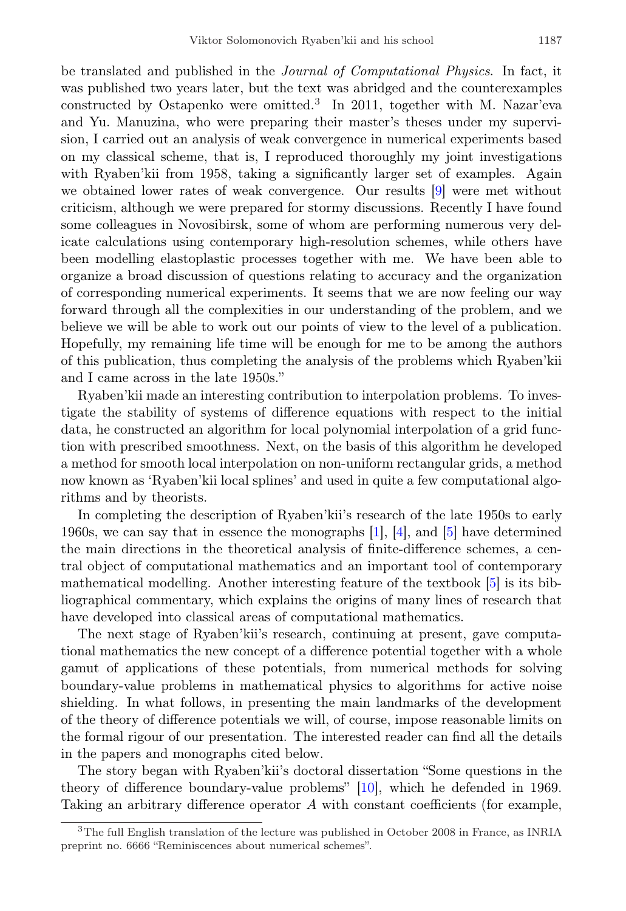be translated and published in the Journal of Computational Physics. In fact, it was published two years later, but the text was abridged and the counterexamples constructed by Ostapenko were omitted.<sup>[3](#page-4-0)</sup> In 2011, together with M. Nazar'eva and Yu. Manuzina, who were preparing their master's theses under my supervision, I carried out an analysis of weak convergence in numerical experiments based on my classical scheme, that is, I reproduced thoroughly my joint investigations with Ryaben'kii from 1958, taking a significantly larger set of examples. Again we obtained lower rates of weak convergence. Our results [\[9\]](#page-20-4) were met without criticism, although we were prepared for stormy discussions. Recently I have found some colleagues in Novosibirsk, some of whom are performing numerous very delicate calculations using contemporary high-resolution schemes, while others have been modelling elastoplastic processes together with me. We have been able to organize a broad discussion of questions relating to accuracy and the organization of corresponding numerical experiments. It seems that we are now feeling our way forward through all the complexities in our understanding of the problem, and we believe we will be able to work out our points of view to the level of a publication. Hopefully, my remaining life time will be enough for me to be among the authors of this publication, thus completing the analysis of the problems which Ryaben'kii and I came across in the late 1950s."

Ryaben'kii made an interesting contribution to interpolation problems. To investigate the stability of systems of difference equations with respect to the initial data, he constructed an algorithm for local polynomial interpolation of a grid function with prescribed smoothness. Next, on the basis of this algorithm he developed a method for smooth local interpolation on non-uniform rectangular grids, a method now known as 'Ryaben'kii local splines' and used in quite a few computational algorithms and by theorists.

In completing the description of Ryaben'kii's research of the late 1950s to early 1960s, we can say that in essence the monographs [\[1\]](#page-19-0), [\[4\]](#page-19-3), and [\[5\]](#page-20-0) have determined the main directions in the theoretical analysis of finite-difference schemes, a central object of computational mathematics and an important tool of contemporary mathematical modelling. Another interesting feature of the textbook [\[5\]](#page-20-0) is its bibliographical commentary, which explains the origins of many lines of research that have developed into classical areas of computational mathematics.

The next stage of Ryaben'kii's research, continuing at present, gave computational mathematics the new concept of a difference potential together with a whole gamut of applications of these potentials, from numerical methods for solving boundary-value problems in mathematical physics to algorithms for active noise shielding. In what follows, in presenting the main landmarks of the development of the theory of difference potentials we will, of course, impose reasonable limits on the formal rigour of our presentation. The interested reader can find all the details in the papers and monographs cited below.

The story began with Ryaben'kii's doctoral dissertation "Some questions in the theory of difference boundary-value problems" [\[10\]](#page-20-5), which he defended in 1969. Taking an arbitrary difference operator A with constant coefficients (for example,

<span id="page-4-0"></span><sup>3</sup>The full English translation of the lecture was published in October 2008 in France, as INRIA preprint no. 6666 "Reminiscences about numerical schemes".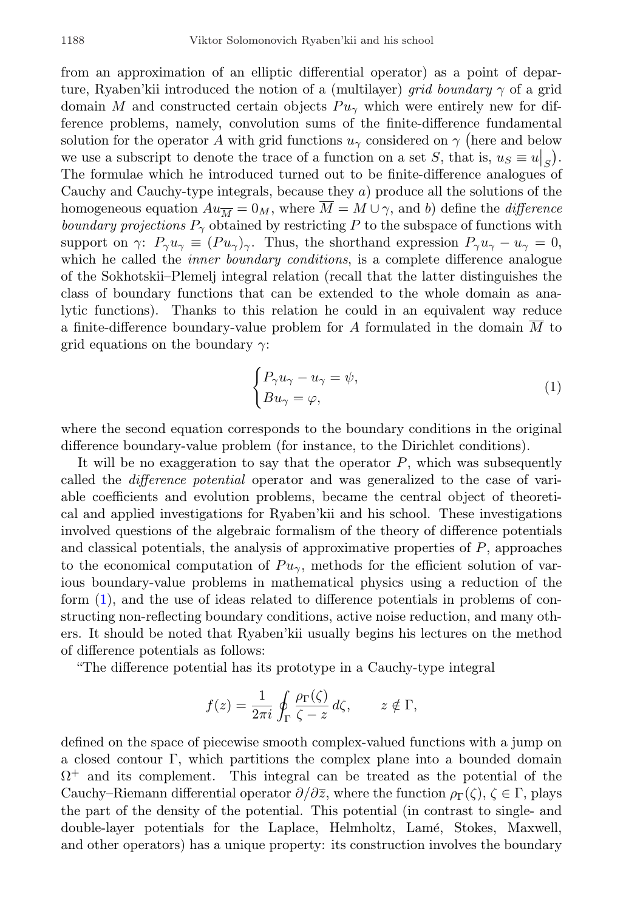from an approximation of an elliptic differential operator) as a point of departure, Ryaben'kii introduced the notion of a (multilayer) *grid boundary*  $\gamma$  of a grid domain M and constructed certain objects  $Pu_{\gamma}$  which were entirely new for difference problems, namely, convolution sums of the finite-difference fundamental solution for the operator A with grid functions  $u_{\gamma}$  considered on  $\gamma$  (here and below we use a subscript to denote the trace of a function on a set S, that is,  $u_S \equiv u|_S$ . The formulae which he introduced turned out to be finite-difference analogues of Cauchy and Cauchy-type integrals, because they a) produce all the solutions of the homogeneous equation  $Au_{\overline{M}} = 0_M$ , where  $\overline{M} = M \cup \gamma$ , and b) define the *difference* boundary projections  $P_{\gamma}$  obtained by restricting P to the subspace of functions with support on γ:  $P_{\gamma}u_{\gamma} \equiv (Pu_{\gamma})_{\gamma}$ . Thus, the shorthand expression  $P_{\gamma}u_{\gamma} - u_{\gamma} = 0$ , which he called the *inner boundary conditions*, is a complete difference analogue of the Sokhotskii–Plemelj integral relation (recall that the latter distinguishes the class of boundary functions that can be extended to the whole domain as analytic functions). Thanks to this relation he could in an equivalent way reduce a finite-difference boundary-value problem for A formulated in the domain M to grid equations on the boundary  $\gamma$ :

<span id="page-5-0"></span>
$$
\begin{cases} P_{\gamma}u_{\gamma} - u_{\gamma} = \psi, \\ Bu_{\gamma} = \varphi, \end{cases}
$$
 (1)

where the second equation corresponds to the boundary conditions in the original difference boundary-value problem (for instance, to the Dirichlet conditions).

It will be no exaggeration to say that the operator  $P$ , which was subsequently called the difference potential operator and was generalized to the case of variable coefficients and evolution problems, became the central object of theoretical and applied investigations for Ryaben'kii and his school. These investigations involved questions of the algebraic formalism of the theory of difference potentials and classical potentials, the analysis of approximative properties of  $P$ , approaches to the economical computation of  $Pu_{\gamma}$ , methods for the efficient solution of various boundary-value problems in mathematical physics using a reduction of the form [\(1\)](#page-5-0), and the use of ideas related to difference potentials in problems of constructing non-reflecting boundary conditions, active noise reduction, and many others. It should be noted that Ryaben'kii usually begins his lectures on the method of difference potentials as follows:

"The difference potential has its prototype in a Cauchy-type integral

$$
f(z) = \frac{1}{2\pi i} \oint_{\Gamma} \frac{\rho_{\Gamma}(\zeta)}{\zeta - z} d\zeta, \qquad z \notin \Gamma,
$$

defined on the space of piecewise smooth complex-valued functions with a jump on a closed contour Γ, which partitions the complex plane into a bounded domain  $\Omega^+$  and its complement. This integral can be treated as the potential of the Cauchy–Riemann differential operator  $\partial/\partial\overline{z}$ , where the function  $\rho_{\Gamma}(\zeta), \zeta \in \Gamma$ , plays the part of the density of the potential. This potential (in contrast to single- and double-layer potentials for the Laplace, Helmholtz, Lamé, Stokes, Maxwell, and other operators) has a unique property: its construction involves the boundary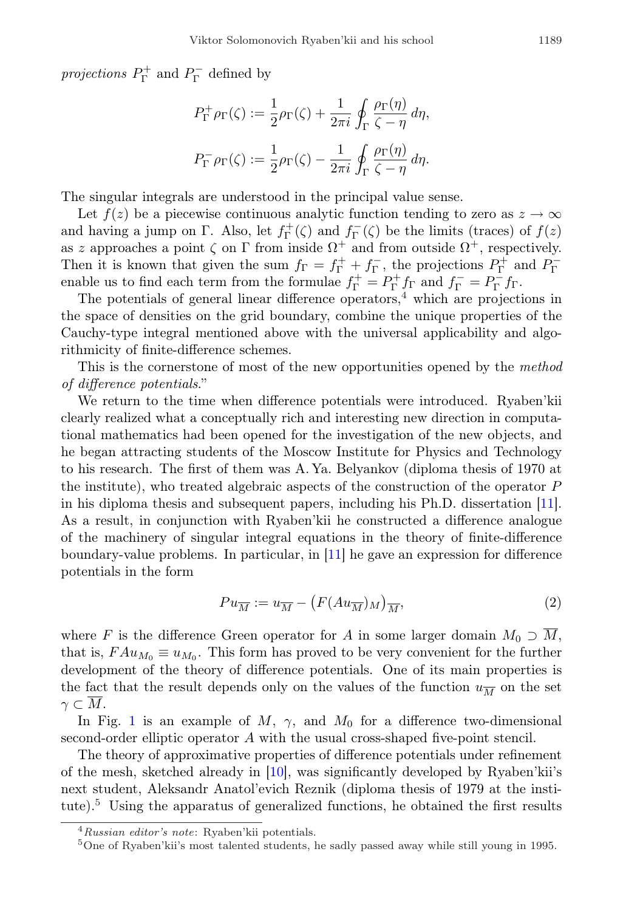projections  $P_{\Gamma}^+$  and  $P_{\Gamma}^-$  defined by

$$
P_{\Gamma}^{+}\rho_{\Gamma}(\zeta) := \frac{1}{2}\rho_{\Gamma}(\zeta) + \frac{1}{2\pi i} \oint_{\Gamma} \frac{\rho_{\Gamma}(\eta)}{\zeta - \eta} d\eta,
$$
  

$$
P_{\Gamma}^{-}\rho_{\Gamma}(\zeta) := \frac{1}{2}\rho_{\Gamma}(\zeta) - \frac{1}{2\pi i} \oint_{\Gamma} \frac{\rho_{\Gamma}(\eta)}{\zeta - \eta} d\eta.
$$

The singular integrals are understood in the principal value sense.

Let  $f(z)$  be a piecewise continuous analytic function tending to zero as  $z \to \infty$ and having a jump on  $\Gamma$ . Also, let  $f_{\Gamma}^{+}(\zeta)$  and  $f_{\Gamma}^{-}(\zeta)$  be the limits (traces) of  $f(z)$ as z approaches a point  $\zeta$  on  $\Gamma$  from inside  $\Omega^+$  and from outside  $\Omega^+$ , respectively. Then it is known that given the sum  $f_{\Gamma} = f_{\Gamma}^+ + f_{\Gamma}^-$ , the projections  $P_{\Gamma}^+$  and  $P_{\Gamma}^$ enable us to find each term from the formulae  $f_{\Gamma}^+ = P_{\Gamma}^+ f_{\Gamma}$  and  $f_{\Gamma}^- = P_{\Gamma}^- f_{\Gamma}$ .

The potentials of general linear difference operators,<sup>[4](#page-6-0)</sup> which are projections in the space of densities on the grid boundary, combine the unique properties of the Cauchy-type integral mentioned above with the universal applicability and algorithmicity of finite-difference schemes.

This is the cornerstone of most of the new opportunities opened by the *method* of difference potentials."

We return to the time when difference potentials were introduced. Ryaben'kii clearly realized what a conceptually rich and interesting new direction in computational mathematics had been opened for the investigation of the new objects, and he began attracting students of the Moscow Institute for Physics and Technology to his research. The first of them was A. Ya. Belyankov (diploma thesis of 1970 at the institute), who treated algebraic aspects of the construction of the operator P in his diploma thesis and subsequent papers, including his Ph.D. dissertation [\[11\]](#page-20-6). As a result, in conjunction with Ryaben'kii he constructed a difference analogue of the machinery of singular integral equations in the theory of finite-difference boundary-value problems. In particular, in [\[11\]](#page-20-6) he gave an expression for difference potentials in the form

<span id="page-6-2"></span>
$$
Pu_{\overline{M}} := u_{\overline{M}} - \left( F(Au_{\overline{M}})_M \right)_{\overline{M}},\tag{2}
$$

where F is the difference Green operator for A in some larger domain  $M_0 \supset M$ , that is,  $FAu_{M_0} \equiv u_{M_0}$ . This form has proved to be very convenient for the further development of the theory of difference potentials. One of its main properties is the fact that the result depends only on the values of the function  $u_{\overline{M}}$  on the set  $\gamma \subset M$ .

In Fig. [1](#page-7-0) is an example of  $M$ ,  $\gamma$ , and  $M_0$  for a difference two-dimensional second-order elliptic operator A with the usual cross-shaped five-point stencil.

The theory of approximative properties of difference potentials under refinement of the mesh, sketched already in [\[10\]](#page-20-5), was significantly developed by Ryaben'kii's next student, Aleksandr Anatol'evich Reznik (diploma thesis of 1979 at the insti-tute).<sup>[5](#page-6-1)</sup> Using the apparatus of generalized functions, he obtained the first results

<span id="page-6-0"></span><sup>4</sup>Russian editor's note: Ryaben'kii potentials.

<span id="page-6-1"></span><sup>5</sup>One of Ryaben'kii's most talented students, he sadly passed away while still young in 1995.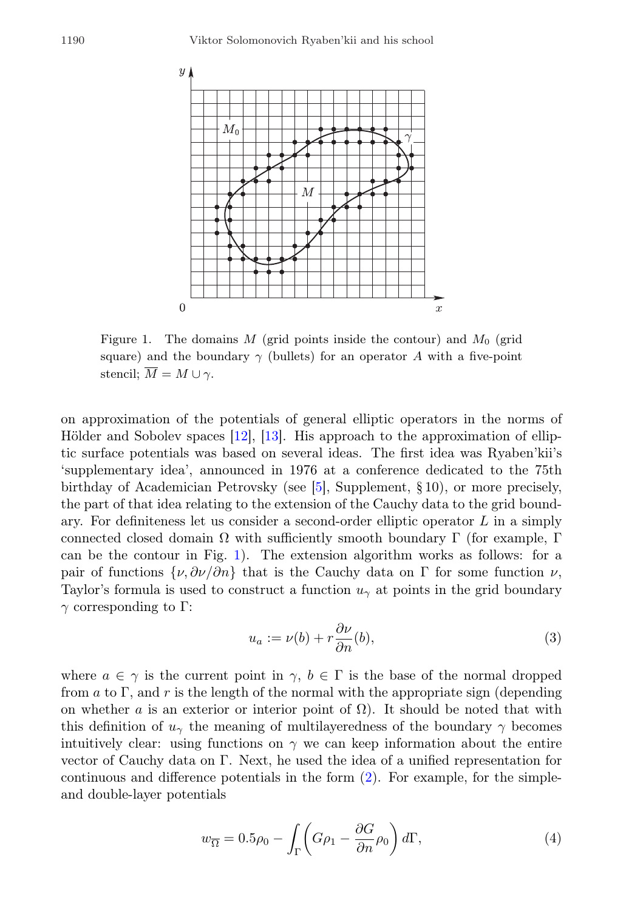

<span id="page-7-0"></span>Figure 1. The domains M (grid points inside the contour) and  $M_0$  (grid square) and the boundary  $\gamma$  (bullets) for an operator A with a five-point stencil;  $\overline{M} = M \cup \gamma$ .

on approximation of the potentials of general elliptic operators in the norms of Hölder and Sobolev spaces  $[12]$ ,  $[13]$ . His approach to the approximation of elliptic surface potentials was based on several ideas. The first idea was Ryaben'kii's 'supplementary idea', announced in 1976 at a conference dedicated to the 75th birthday of Academician Petrovsky (see [\[5\]](#page-20-0), Supplement, § 10), or more precisely, the part of that idea relating to the extension of the Cauchy data to the grid boundary. For definiteness let us consider a second-order elliptic operator L in a simply connected closed domain Ω with sufficiently smooth boundary Γ (for example, Γ can be the contour in Fig. [1\)](#page-7-0). The extension algorithm works as follows: for a pair of functions  $\{\nu, \partial \nu/\partial n\}$  that is the Cauchy data on Γ for some function  $\nu$ , Taylor's formula is used to construct a function  $u<sub>\gamma</sub>$  at points in the grid boundary  $\gamma$  corresponding to Γ:

<span id="page-7-2"></span>
$$
u_a := \nu(b) + r \frac{\partial \nu}{\partial n}(b),\tag{3}
$$

where  $a \in \gamma$  is the current point in  $\gamma, b \in \Gamma$  is the base of the normal dropped from a to Γ, and r is the length of the normal with the appropriate sign (depending on whether a is an exterior or interior point of  $\Omega$ ). It should be noted that with this definition of  $u_{\gamma}$  the meaning of multilayeredness of the boundary  $\gamma$  becomes intuitively clear: using functions on  $\gamma$  we can keep information about the entire vector of Cauchy data on Γ. Next, he used the idea of a unified representation for continuous and difference potentials in the form [\(2\)](#page-6-2). For example, for the simpleand double-layer potentials

<span id="page-7-1"></span>
$$
w_{\overline{\Omega}} = 0.5\rho_0 - \int_{\Gamma} \left( G\rho_1 - \frac{\partial G}{\partial n}\rho_0 \right) d\Gamma, \tag{4}
$$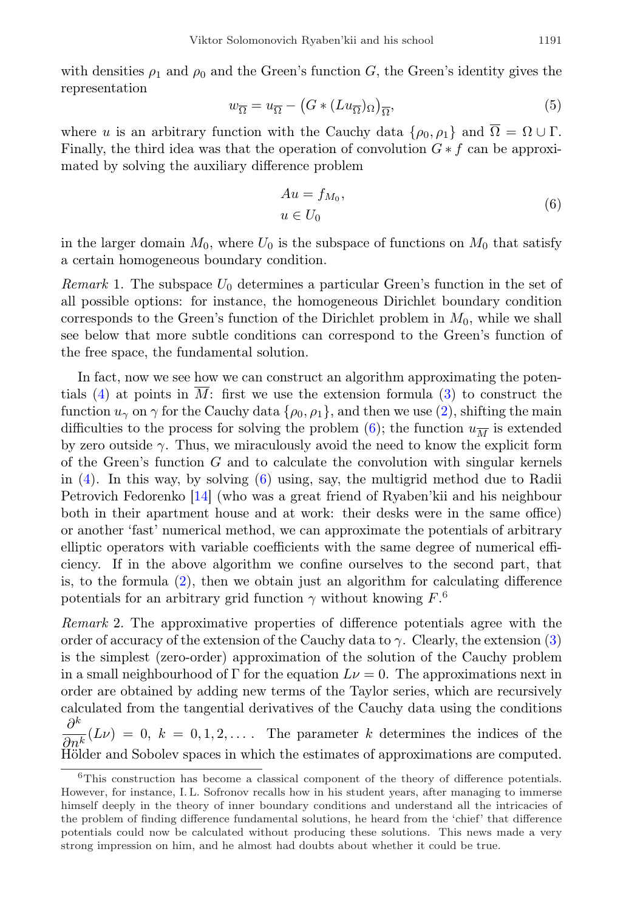with densities  $\rho_1$  and  $\rho_0$  and the Green's function G, the Green's identity gives the representation

<span id="page-8-2"></span>
$$
w_{\overline{\Omega}} = u_{\overline{\Omega}} - (G \ast (Lu_{\overline{\Omega}})_{\Omega})_{\overline{\Omega}},
$$
\n<sup>(5)</sup>

where u is an arbitrary function with the Cauchy data  $\{\rho_0, \rho_1\}$  and  $\overline{\Omega} = \Omega \cup \Gamma$ . Finally, the third idea was that the operation of convolution  $G * f$  can be approximated by solving the auxiliary difference problem

<span id="page-8-0"></span>
$$
Au = f_{M_0},
$$
  

$$
u \in U_0
$$
 (6)

in the larger domain  $M_0$ , where  $U_0$  is the subspace of functions on  $M_0$  that satisfy a certain homogeneous boundary condition.

*Remark* 1. The subspace  $U_0$  determines a particular Green's function in the set of all possible options: for instance, the homogeneous Dirichlet boundary condition corresponds to the Green's function of the Dirichlet problem in  $M_0$ , while we shall see below that more subtle conditions can correspond to the Green's function of the free space, the fundamental solution.

In fact, now we see how we can construct an algorithm approximating the poten-tials [\(4\)](#page-7-1) at points in  $\overline{M}$ : first we use the extension formula [\(3\)](#page-7-2) to construct the function  $u_{\gamma}$  on  $\gamma$  for the Cauchy data  $\{\rho_0, \rho_1\}$ , and then we use [\(2\)](#page-6-2), shifting the main difficulties to the process for solving the problem [\(6\)](#page-8-0); the function  $u_{\overline{M}}$  is extended by zero outside  $\gamma$ . Thus, we miraculously avoid the need to know the explicit form of the Green's function  $G$  and to calculate the convolution with singular kernels in [\(4\)](#page-7-1). In this way, by solving [\(6\)](#page-8-0) using, say, the multigrid method due to Radii Petrovich Fedorenko [\[14\]](#page-20-9) (who was a great friend of Ryaben'kii and his neighbour both in their apartment house and at work: their desks were in the same office) or another 'fast' numerical method, we can approximate the potentials of arbitrary elliptic operators with variable coefficients with the same degree of numerical efficiency. If in the above algorithm we confine ourselves to the second part, that is, to the formula  $(2)$ , then we obtain just an algorithm for calculating difference potentials for an arbitrary grid function  $\gamma$  without knowing  $F^6$  $F^6$ .

<span id="page-8-3"></span>Remark 2. The approximative properties of difference potentials agree with the order of accuracy of the extension of the Cauchy data to  $\gamma$ . Clearly, the extension [\(3\)](#page-7-2) is the simplest (zero-order) approximation of the solution of the Cauchy problem in a small neighbourhood of  $\Gamma$  for the equation  $L\nu = 0$ . The approximations next in order are obtained by adding new terms of the Taylor series, which are recursively calculated from the tangential derivatives of the Cauchy data using the conditions  $\partial^k$  $\frac{\partial}{\partial n^k}(L\nu) = 0, k = 0, 1, 2, \ldots$  The parameter k determines the indices of the  $H$  $\ddot{\text{old}}$  and Sobolev spaces in which the estimates of approximations are computed.

<span id="page-8-1"></span><sup>6</sup>This construction has become a classical component of the theory of difference potentials. However, for instance, I. L. Sofronov recalls how in his student years, after managing to immerse himself deeply in the theory of inner boundary conditions and understand all the intricacies of the problem of finding difference fundamental solutions, he heard from the 'chief' that difference potentials could now be calculated without producing these solutions. This news made a very strong impression on him, and he almost had doubts about whether it could be true.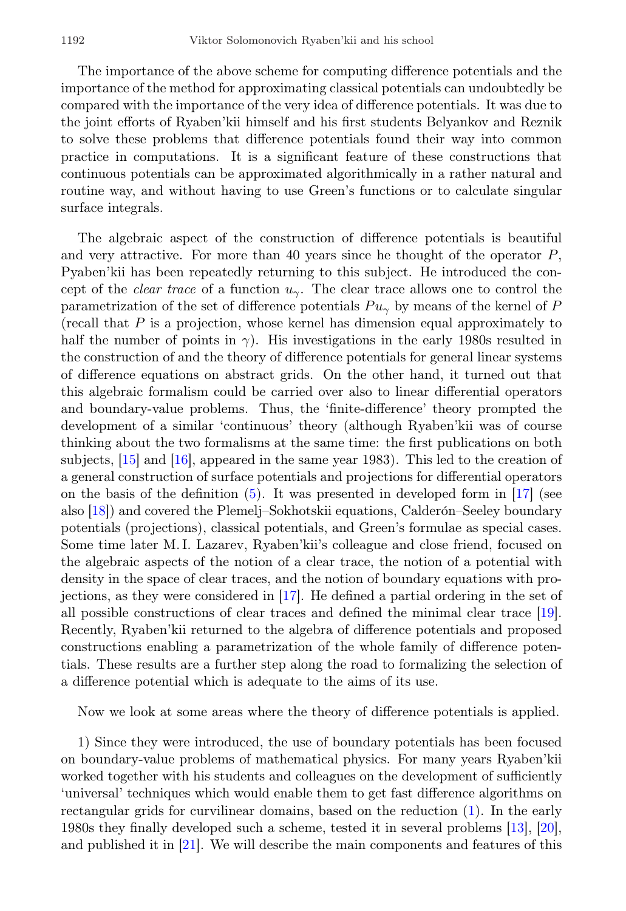The importance of the above scheme for computing difference potentials and the importance of the method for approximating classical potentials can undoubtedly be compared with the importance of the very idea of difference potentials. It was due to the joint efforts of Ryaben'kii himself and his first students Belyankov and Reznik to solve these problems that difference potentials found their way into common practice in computations. It is a significant feature of these constructions that continuous potentials can be approximated algorithmically in a rather natural and routine way, and without having to use Green's functions or to calculate singular surface integrals.

The algebraic aspect of the construction of difference potentials is beautiful and very attractive. For more than 40 years since he thought of the operator  $P$ , Pyaben'kii has been repeatedly returning to this subject. He introduced the concept of the *clear trace* of a function  $u_{\gamma}$ . The clear trace allows one to control the parametrization of the set of difference potentials  $Pu_{\gamma}$  by means of the kernel of P (recall that  $P$  is a projection, whose kernel has dimension equal approximately to half the number of points in  $\gamma$ ). His investigations in the early 1980s resulted in the construction of and the theory of difference potentials for general linear systems of difference equations on abstract grids. On the other hand, it turned out that this algebraic formalism could be carried over also to linear differential operators and boundary-value problems. Thus, the 'finite-difference' theory prompted the development of a similar 'continuous' theory (although Ryaben'kii was of course thinking about the two formalisms at the same time: the first publications on both subjects, [\[15\]](#page-21-0) and [\[16\]](#page-21-1), appeared in the same year 1983). This led to the creation of a general construction of surface potentials and projections for differential operators on the basis of the definition  $(5)$ . It was presented in developed form in  $[17]$  (see also [\[18\]](#page-21-3)) and covered the Plemelj–Sokhotskii equations, Calderón–Seeley boundary potentials (projections), classical potentials, and Green's formulae as special cases. Some time later M. I. Lazarev, Ryaben'kii's colleague and close friend, focused on the algebraic aspects of the notion of a clear trace, the notion of a potential with density in the space of clear traces, and the notion of boundary equations with projections, as they were considered in [\[17\]](#page-21-2). He defined a partial ordering in the set of all possible constructions of clear traces and defined the minimal clear trace [\[19\]](#page-21-4). Recently, Ryaben'kii returned to the algebra of difference potentials and proposed constructions enabling a parametrization of the whole family of difference potentials. These results are a further step along the road to formalizing the selection of a difference potential which is adequate to the aims of its use.

Now we look at some areas where the theory of difference potentials is applied.

1) Since they were introduced, the use of boundary potentials has been focused on boundary-value problems of mathematical physics. For many years Ryaben'kii worked together with his students and colleagues on the development of sufficiently 'universal' techniques which would enable them to get fast difference algorithms on rectangular grids for curvilinear domains, based on the reduction [\(1\)](#page-5-0). In the early 1980s they finally developed such a scheme, tested it in several problems [\[13\]](#page-20-8), [\[20\]](#page-21-5), and published it in [\[21\]](#page-21-6). We will describe the main components and features of this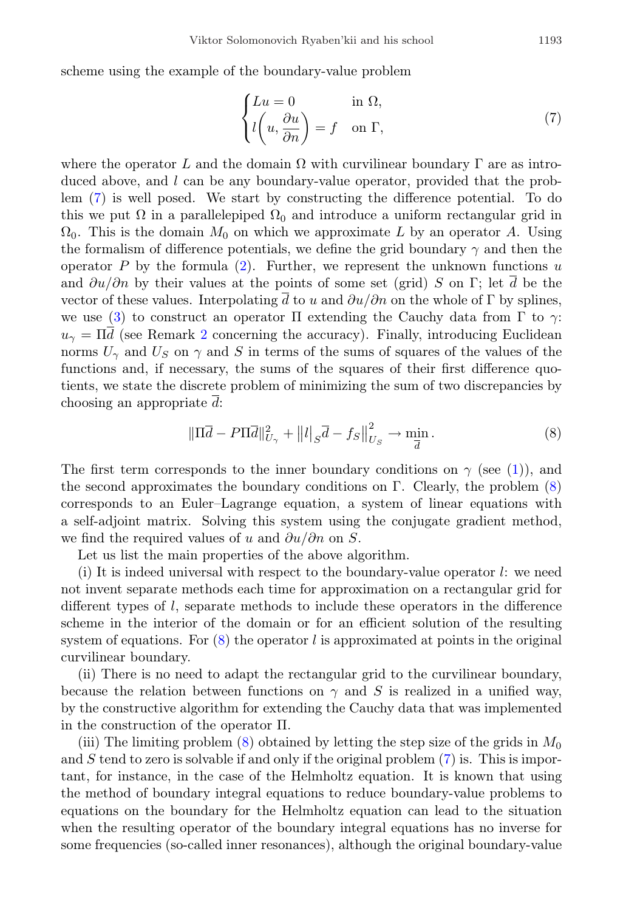scheme using the example of the boundary-value problem

<span id="page-10-0"></span>
$$
\begin{cases}\nLu = 0 & \text{in } \Omega, \\
l\left(u, \frac{\partial u}{\partial n}\right) = f & \text{on } \Gamma,\n\end{cases}
$$
\n(7)

where the operator L and the domain  $\Omega$  with curvilinear boundary  $\Gamma$  are as introduced above, and l can be any boundary-value operator, provided that the problem [\(7\)](#page-10-0) is well posed. We start by constructing the difference potential. To do this we put  $\Omega$  in a parallelepiped  $\Omega_0$  and introduce a uniform rectangular grid in  $\Omega_0$ . This is the domain  $M_0$  on which we approximate L by an operator A. Using the formalism of difference potentials, we define the grid boundary  $\gamma$  and then the operator P by the formula  $(2)$ . Further, we represent the unknown functions u and  $\partial u/\partial n$  by their values at the points of some set (grid) S on Γ; let d be the vector of these values. Interpolating d to u and  $\partial u/\partial n$  on the whole of  $\Gamma$  by splines, we use [\(3\)](#page-7-2) to construct an operator Π extending the Cauchy data from  $\Gamma$  to  $\gamma$ :  $u_{\gamma} = \Pi \overline{d}$  (see Remark [2](#page-8-3) concerning the accuracy). Finally, introducing Euclidean norms  $U_{\gamma}$  and  $U_{S}$  on  $\gamma$  and S in terms of the sums of squares of the values of the functions and, if necessary, the sums of the squares of their first difference quotients, we state the discrete problem of minimizing the sum of two discrepancies by choosing an appropriate  $\overline{d}$ :

<span id="page-10-1"></span>
$$
\|\Pi \overline{d} - P\Pi \overline{d}\|_{U_{\gamma}}^2 + \|l\|_{S}\overline{d} - f_{S}\|_{U_{S}}^2 \to \min_{\overline{d}}.
$$
 (8)

The first term corresponds to the inner boundary conditions on  $\gamma$  (see [\(1\)](#page-5-0)), and the second approximates the boundary conditions on  $\Gamma$ . Clearly, the problem [\(8\)](#page-10-1) corresponds to an Euler–Lagrange equation, a system of linear equations with a self-adjoint matrix. Solving this system using the conjugate gradient method, we find the required values of u and  $\partial u/\partial n$  on S.

Let us list the main properties of the above algorithm.

(i) It is indeed universal with respect to the boundary-value operator  $l$ : we need not invent separate methods each time for approximation on a rectangular grid for different types of l, separate methods to include these operators in the difference scheme in the interior of the domain or for an efficient solution of the resulting system of equations. For  $(8)$  the operator l is approximated at points in the original curvilinear boundary.

(ii) There is no need to adapt the rectangular grid to the curvilinear boundary, because the relation between functions on  $\gamma$  and S is realized in a unified way, by the constructive algorithm for extending the Cauchy data that was implemented in the construction of the operator Π.

(iii) The limiting problem  $(8)$  obtained by letting the step size of the grids in  $M_0$ and  $S$  tend to zero is solvable if and only if the original problem  $(7)$  is. This is important, for instance, in the case of the Helmholtz equation. It is known that using the method of boundary integral equations to reduce boundary-value problems to equations on the boundary for the Helmholtz equation can lead to the situation when the resulting operator of the boundary integral equations has no inverse for some frequencies (so-called inner resonances), although the original boundary-value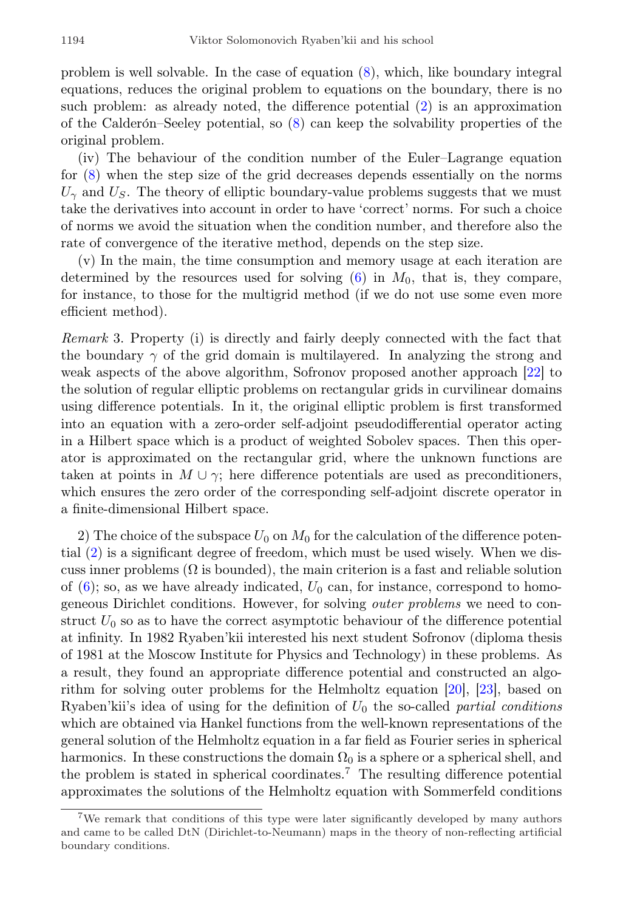problem is well solvable. In the case of equation [\(8\)](#page-10-1), which, like boundary integral equations, reduces the original problem to equations on the boundary, there is no such problem: as already noted, the difference potential [\(2\)](#page-6-2) is an approximation of the Calderón–Seeley potential, so  $(8)$  can keep the solvability properties of the original problem.

(iv) The behaviour of the condition number of the Euler–Lagrange equation for [\(8\)](#page-10-1) when the step size of the grid decreases depends essentially on the norms  $U_{\gamma}$  and  $U_{\gamma}$ . The theory of elliptic boundary-value problems suggests that we must take the derivatives into account in order to have 'correct' norms. For such a choice of norms we avoid the situation when the condition number, and therefore also the rate of convergence of the iterative method, depends on the step size.

(v) In the main, the time consumption and memory usage at each iteration are determined by the resources used for solving  $(6)$  in  $M_0$ , that is, they compare, for instance, to those for the multigrid method (if we do not use some even more efficient method).

Remark 3. Property (i) is directly and fairly deeply connected with the fact that the boundary  $\gamma$  of the grid domain is multilayered. In analyzing the strong and weak aspects of the above algorithm, Sofronov proposed another approach [\[22\]](#page-21-7) to the solution of regular elliptic problems on rectangular grids in curvilinear domains using difference potentials. In it, the original elliptic problem is first transformed into an equation with a zero-order self-adjoint pseudodifferential operator acting in a Hilbert space which is a product of weighted Sobolev spaces. Then this operator is approximated on the rectangular grid, where the unknown functions are taken at points in  $M \cup \gamma$ ; here difference potentials are used as preconditioners, which ensures the zero order of the corresponding self-adjoint discrete operator in a finite-dimensional Hilbert space.

2) The choice of the subspace  $U_0$  on  $M_0$  for the calculation of the difference potential [\(2\)](#page-6-2) is a significant degree of freedom, which must be used wisely. When we discuss inner problems  $(\Omega)$  is bounded), the main criterion is a fast and reliable solution of  $(6)$ ; so, as we have already indicated,  $U_0$  can, for instance, correspond to homogeneous Dirichlet conditions. However, for solving outer problems we need to construct  $U_0$  so as to have the correct asymptotic behaviour of the difference potential at infinity. In 1982 Ryaben'kii interested his next student Sofronov (diploma thesis of 1981 at the Moscow Institute for Physics and Technology) in these problems. As a result, they found an appropriate difference potential and constructed an algorithm for solving outer problems for the Helmholtz equation [\[20\]](#page-21-5), [\[23\]](#page-21-8), based on Ryaben'kii's idea of using for the definition of  $U_0$  the so-called partial conditions which are obtained via Hankel functions from the well-known representations of the general solution of the Helmholtz equation in a far field as Fourier series in spherical harmonics. In these constructions the domain  $\Omega_0$  is a sphere or a spherical shell, and the problem is stated in spherical coordinates.[7](#page-11-0) The resulting difference potential approximates the solutions of the Helmholtz equation with Sommerfeld conditions

<span id="page-11-0"></span><sup>7</sup>We remark that conditions of this type were later significantly developed by many authors and came to be called DtN (Dirichlet-to-Neumann) maps in the theory of non-reflecting artificial boundary conditions.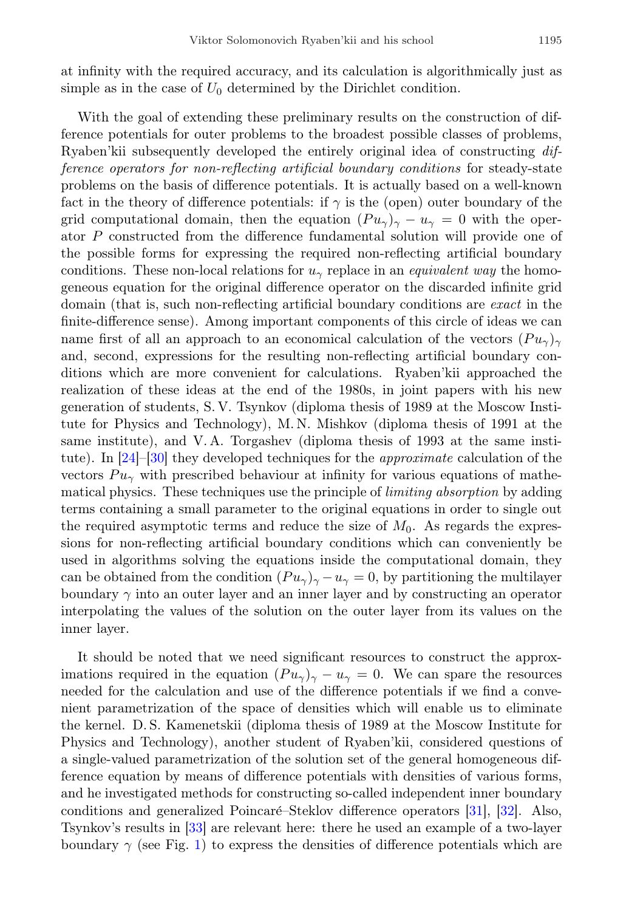at infinity with the required accuracy, and its calculation is algorithmically just as simple as in the case of  $U_0$  determined by the Dirichlet condition.

With the goal of extending these preliminary results on the construction of difference potentials for outer problems to the broadest possible classes of problems, Ryaben'kii subsequently developed the entirely original idea of constructing difference operators for non-reflecting artificial boundary conditions for steady-state problems on the basis of difference potentials. It is actually based on a well-known fact in the theory of difference potentials: if  $\gamma$  is the (open) outer boundary of the grid computational domain, then the equation  $(Pu_{\gamma})_{\gamma}-u_{\gamma}=0$  with the operator P constructed from the difference fundamental solution will provide one of the possible forms for expressing the required non-reflecting artificial boundary conditions. These non-local relations for  $u_\gamma$  replace in an *equivalent way* the homogeneous equation for the original difference operator on the discarded infinite grid domain (that is, such non-reflecting artificial boundary conditions are exact in the finite-difference sense). Among important components of this circle of ideas we can name first of all an approach to an economical calculation of the vectors  $(Pu_{\gamma})_{\gamma}$ and, second, expressions for the resulting non-reflecting artificial boundary conditions which are more convenient for calculations. Ryaben'kii approached the realization of these ideas at the end of the 1980s, in joint papers with his new generation of students, S. V. Tsynkov (diploma thesis of 1989 at the Moscow Institute for Physics and Technology), M. N. Mishkov (diploma thesis of 1991 at the same institute), and V. A. Torgashev (diploma thesis of 1993 at the same institute). In [\[24\]](#page-21-9)–[\[30\]](#page-22-0) they developed techniques for the approximate calculation of the vectors  $Pu_\gamma$  with prescribed behaviour at infinity for various equations of mathematical physics. These techniques use the principle of limiting absorption by adding terms containing a small parameter to the original equations in order to single out the required asymptotic terms and reduce the size of  $M_0$ . As regards the expressions for non-reflecting artificial boundary conditions which can conveniently be used in algorithms solving the equations inside the computational domain, they can be obtained from the condition  $(P u_{\gamma})_{\gamma} - u_{\gamma} = 0$ , by partitioning the multilayer boundary  $\gamma$  into an outer layer and an inner layer and by constructing an operator interpolating the values of the solution on the outer layer from its values on the inner layer.

It should be noted that we need significant resources to construct the approximations required in the equation  $(Pu_{\gamma})_{\gamma}-u_{\gamma}=0$ . We can spare the resources needed for the calculation and use of the difference potentials if we find a convenient parametrization of the space of densities which will enable us to eliminate the kernel. D. S. Kamenetskii (diploma thesis of 1989 at the Moscow Institute for Physics and Technology), another student of Ryaben'kii, considered questions of a single-valued parametrization of the solution set of the general homogeneous difference equation by means of difference potentials with densities of various forms, and he investigated methods for constructing so-called independent inner boundary conditions and generalized Poincaré–Steklov difference operators  $[31]$ ,  $[32]$ . Also, Tsynkov's results in [\[33\]](#page-22-3) are relevant here: there he used an example of a two-layer boundary  $\gamma$  (see Fig. [1\)](#page-7-0) to express the densities of difference potentials which are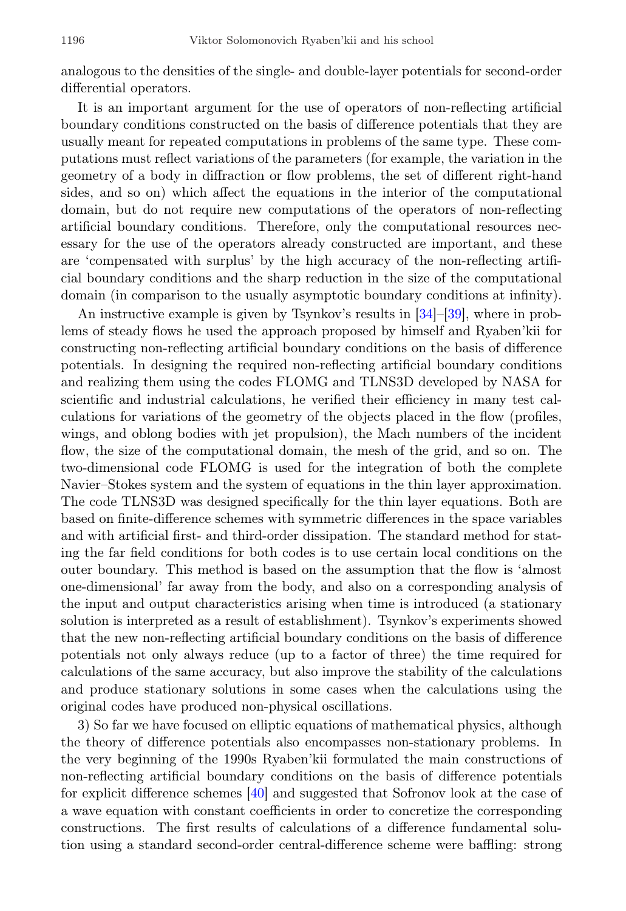analogous to the densities of the single- and double-layer potentials for second-order differential operators.

It is an important argument for the use of operators of non-reflecting artificial boundary conditions constructed on the basis of difference potentials that they are usually meant for repeated computations in problems of the same type. These computations must reflect variations of the parameters (for example, the variation in the geometry of a body in diffraction or flow problems, the set of different right-hand sides, and so on) which affect the equations in the interior of the computational domain, but do not require new computations of the operators of non-reflecting artificial boundary conditions. Therefore, only the computational resources necessary for the use of the operators already constructed are important, and these are 'compensated with surplus' by the high accuracy of the non-reflecting artificial boundary conditions and the sharp reduction in the size of the computational domain (in comparison to the usually asymptotic boundary conditions at infinity).

An instructive example is given by Tsynkov's results in [\[34\]](#page-22-4)–[\[39\]](#page-23-0), where in problems of steady flows he used the approach proposed by himself and Ryaben'kii for constructing non-reflecting artificial boundary conditions on the basis of difference potentials. In designing the required non-reflecting artificial boundary conditions and realizing them using the codes FLOMG and TLNS3D developed by NASA for scientific and industrial calculations, he verified their efficiency in many test calculations for variations of the geometry of the objects placed in the flow (profiles, wings, and oblong bodies with jet propulsion), the Mach numbers of the incident flow, the size of the computational domain, the mesh of the grid, and so on. The two-dimensional code FLOMG is used for the integration of both the complete Navier–Stokes system and the system of equations in the thin layer approximation. The code TLNS3D was designed specifically for the thin layer equations. Both are based on finite-difference schemes with symmetric differences in the space variables and with artificial first- and third-order dissipation. The standard method for stating the far field conditions for both codes is to use certain local conditions on the outer boundary. This method is based on the assumption that the flow is 'almost one-dimensional' far away from the body, and also on a corresponding analysis of the input and output characteristics arising when time is introduced (a stationary solution is interpreted as a result of establishment). Tsynkov's experiments showed that the new non-reflecting artificial boundary conditions on the basis of difference potentials not only always reduce (up to a factor of three) the time required for calculations of the same accuracy, but also improve the stability of the calculations and produce stationary solutions in some cases when the calculations using the original codes have produced non-physical oscillations.

3) So far we have focused on elliptic equations of mathematical physics, although the theory of difference potentials also encompasses non-stationary problems. In the very beginning of the 1990s Ryaben'kii formulated the main constructions of non-reflecting artificial boundary conditions on the basis of difference potentials for explicit difference schemes [\[40\]](#page-23-1) and suggested that Sofronov look at the case of a wave equation with constant coefficients in order to concretize the corresponding constructions. The first results of calculations of a difference fundamental solution using a standard second-order central-difference scheme were baffling: strong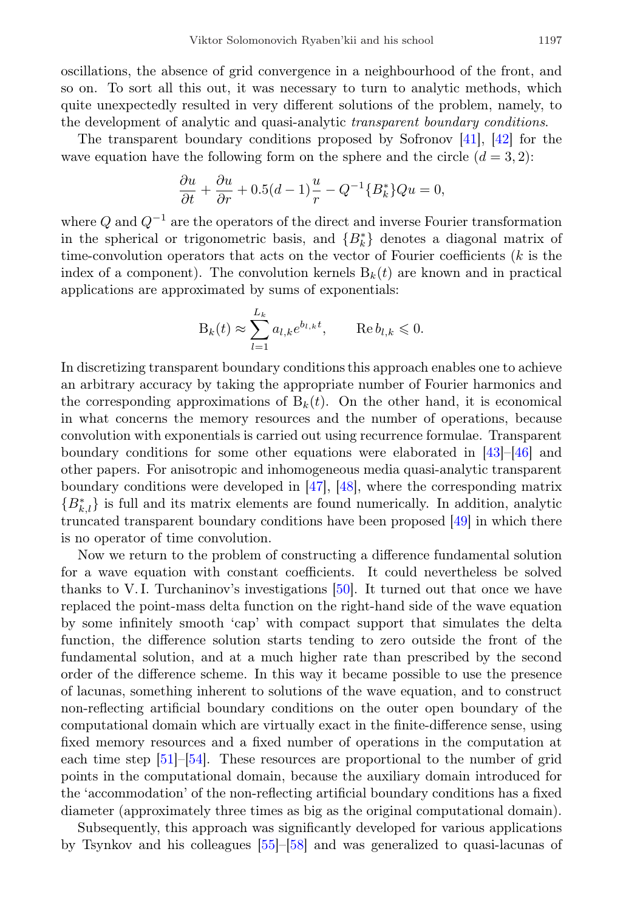oscillations, the absence of grid convergence in a neighbourhood of the front, and so on. To sort all this out, it was necessary to turn to analytic methods, which quite unexpectedly resulted in very different solutions of the problem, namely, to the development of analytic and quasi-analytic transparent boundary conditions.

The transparent boundary conditions proposed by Sofronov [\[41\]](#page-23-2), [\[42\]](#page-23-3) for the wave equation have the following form on the sphere and the circle  $(d = 3, 2)$ :

$$
\frac{\partial u}{\partial t} + \frac{\partial u}{\partial r} + 0.5(d-1)\frac{u}{r} - Q^{-1}{B_k^*}Qu = 0,
$$

where  $Q$  and  $Q^{-1}$  are the operators of the direct and inverse Fourier transformation in the spherical or trigonometric basis, and  ${B<sub>k</sub><sup>*</sup>}$  denotes a diagonal matrix of time-convolution operators that acts on the vector of Fourier coefficients  $(k$  is the index of a component). The convolution kernels  $B_k(t)$  are known and in practical applications are approximated by sums of exponentials:

$$
\mathcal{B}_k(t) \approx \sum_{l=1}^{L_k} a_{l,k} e^{b_{l,k}t}, \qquad \text{Re}\, b_{l,k} \leqslant 0.
$$

In discretizing transparent boundary conditions this approach enables one to achieve an arbitrary accuracy by taking the appropriate number of Fourier harmonics and the corresponding approximations of  $B_k(t)$ . On the other hand, it is economical in what concerns the memory resources and the number of operations, because convolution with exponentials is carried out using recurrence formulae. Transparent boundary conditions for some other equations were elaborated in [\[43\]](#page-23-4)–[\[46\]](#page-23-5) and other papers. For anisotropic and inhomogeneous media quasi-analytic transparent boundary conditions were developed in [\[47\]](#page-23-6), [\[48\]](#page-23-7), where the corresponding matrix  ${B_{k,l}^*}$  is full and its matrix elements are found numerically. In addition, analytic truncated transparent boundary conditions have been proposed [\[49\]](#page-23-8) in which there is no operator of time convolution.

Now we return to the problem of constructing a difference fundamental solution for a wave equation with constant coefficients. It could nevertheless be solved thanks to V. I. Turchaninov's investigations [\[50\]](#page-24-0). It turned out that once we have replaced the point-mass delta function on the right-hand side of the wave equation by some infinitely smooth 'cap' with compact support that simulates the delta function, the difference solution starts tending to zero outside the front of the fundamental solution, and at a much higher rate than prescribed by the second order of the difference scheme. In this way it became possible to use the presence of lacunas, something inherent to solutions of the wave equation, and to construct non-reflecting artificial boundary conditions on the outer open boundary of the computational domain which are virtually exact in the finite-difference sense, using fixed memory resources and a fixed number of operations in the computation at each time step [\[51\]](#page-24-1)–[\[54\]](#page-24-2). These resources are proportional to the number of grid points in the computational domain, because the auxiliary domain introduced for the 'accommodation' of the non-reflecting artificial boundary conditions has a fixed diameter (approximately three times as big as the original computational domain).

Subsequently, this approach was significantly developed for various applications by Tsynkov and his colleagues [\[55\]](#page-24-3)–[\[58\]](#page-24-4) and was generalized to quasi-lacunas of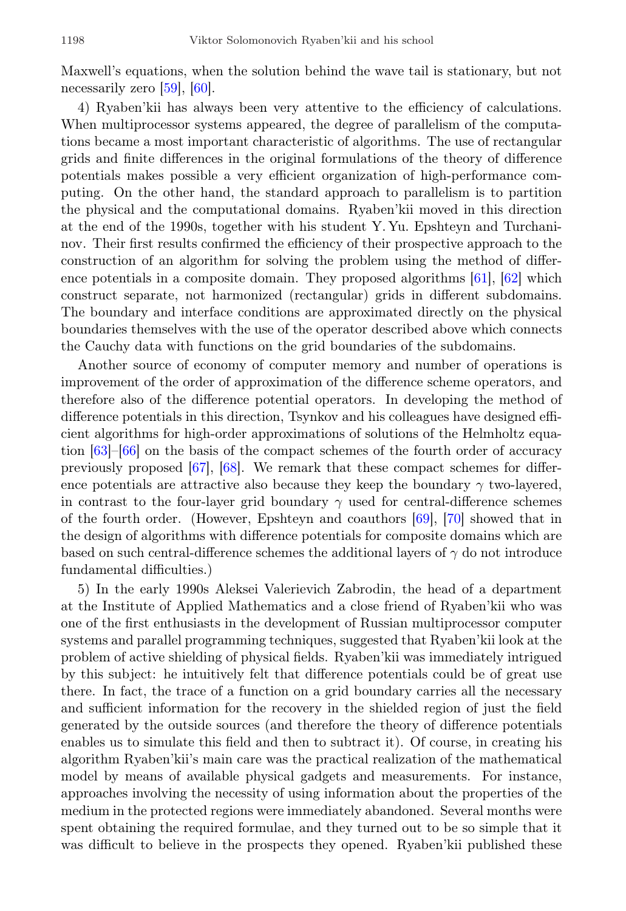Maxwell's equations, when the solution behind the wave tail is stationary, but not necessarily zero [\[59\]](#page-24-5), [\[60\]](#page-24-6).

4) Ryaben'kii has always been very attentive to the efficiency of calculations. When multiprocessor systems appeared, the degree of parallelism of the computations became a most important characteristic of algorithms. The use of rectangular grids and finite differences in the original formulations of the theory of difference potentials makes possible a very efficient organization of high-performance computing. On the other hand, the standard approach to parallelism is to partition the physical and the computational domains. Ryaben'kii moved in this direction at the end of the 1990s, together with his student Y. Yu. Epshteyn and Turchaninov. Their first results confirmed the efficiency of their prospective approach to the construction of an algorithm for solving the problem using the method of difference potentials in a composite domain. They proposed algorithms [\[61\]](#page-24-7), [\[62\]](#page-24-8) which construct separate, not harmonized (rectangular) grids in different subdomains. The boundary and interface conditions are approximated directly on the physical boundaries themselves with the use of the operator described above which connects the Cauchy data with functions on the grid boundaries of the subdomains.

Another source of economy of computer memory and number of operations is improvement of the order of approximation of the difference scheme operators, and therefore also of the difference potential operators. In developing the method of difference potentials in this direction, Tsynkov and his colleagues have designed efficient algorithms for high-order approximations of solutions of the Helmholtz equation [\[63\]](#page-24-9)–[\[66\]](#page-25-0) on the basis of the compact schemes of the fourth order of accuracy previously proposed [\[67\]](#page-25-1), [\[68\]](#page-25-2). We remark that these compact schemes for difference potentials are attractive also because they keep the boundary  $\gamma$  two-layered, in contrast to the four-layer grid boundary  $\gamma$  used for central-difference schemes of the fourth order. (However, Epshteyn and coauthors [\[69\]](#page-25-3), [\[70\]](#page-25-4) showed that in the design of algorithms with difference potentials for composite domains which are based on such central-difference schemes the additional layers of  $\gamma$  do not introduce fundamental difficulties.)

5) In the early 1990s Aleksei Valerievich Zabrodin, the head of a department at the Institute of Applied Mathematics and a close friend of Ryaben'kii who was one of the first enthusiasts in the development of Russian multiprocessor computer systems and parallel programming techniques, suggested that Ryaben'kii look at the problem of active shielding of physical fields. Ryaben'kii was immediately intrigued by this subject: he intuitively felt that difference potentials could be of great use there. In fact, the trace of a function on a grid boundary carries all the necessary and sufficient information for the recovery in the shielded region of just the field generated by the outside sources (and therefore the theory of difference potentials enables us to simulate this field and then to subtract it). Of course, in creating his algorithm Ryaben'kii's main care was the practical realization of the mathematical model by means of available physical gadgets and measurements. For instance, approaches involving the necessity of using information about the properties of the medium in the protected regions were immediately abandoned. Several months were spent obtaining the required formulae, and they turned out to be so simple that it was difficult to believe in the prospects they opened. Ryaben'kii published these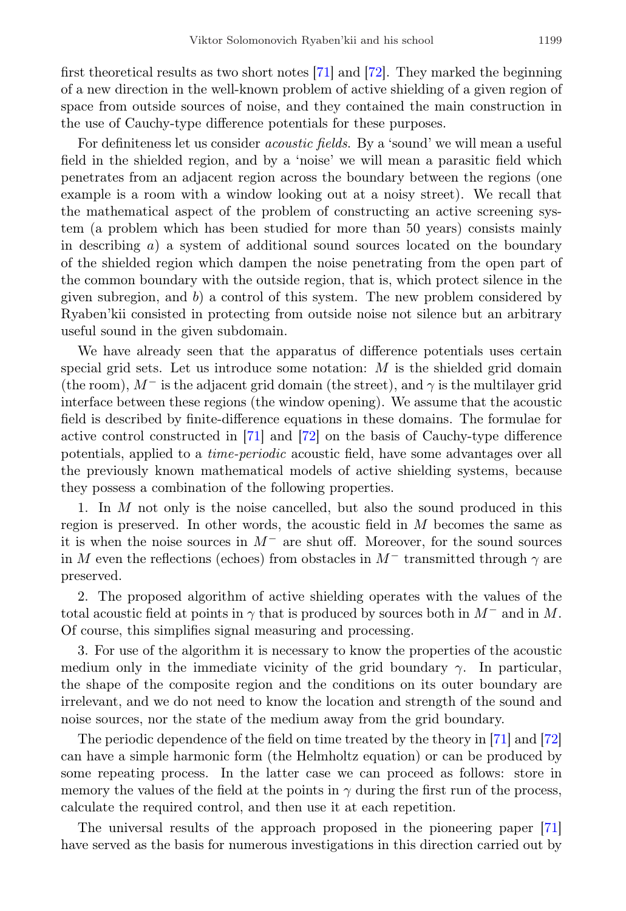first theoretical results as two short notes [\[71\]](#page-25-5) and [\[72\]](#page-25-6). They marked the beginning of a new direction in the well-known problem of active shielding of a given region of space from outside sources of noise, and they contained the main construction in the use of Cauchy-type difference potentials for these purposes.

For definiteness let us consider acoustic fields. By a 'sound' we will mean a useful field in the shielded region, and by a 'noise' we will mean a parasitic field which penetrates from an adjacent region across the boundary between the regions (one example is a room with a window looking out at a noisy street). We recall that the mathematical aspect of the problem of constructing an active screening system (a problem which has been studied for more than 50 years) consists mainly in describing  $a$ ) a system of additional sound sources located on the boundary of the shielded region which dampen the noise penetrating from the open part of the common boundary with the outside region, that is, which protect silence in the given subregion, and  $b$ ) a control of this system. The new problem considered by Ryaben'kii consisted in protecting from outside noise not silence but an arbitrary useful sound in the given subdomain.

We have already seen that the apparatus of difference potentials uses certain special grid sets. Let us introduce some notation:  $M$  is the shielded grid domain (the room),  $M^-$  is the adjacent grid domain (the street), and  $\gamma$  is the multilayer grid interface between these regions (the window opening). We assume that the acoustic field is described by finite-difference equations in these domains. The formulae for active control constructed in [\[71\]](#page-25-5) and [\[72\]](#page-25-6) on the basis of Cauchy-type difference potentials, applied to a time-periodic acoustic field, have some advantages over all the previously known mathematical models of active shielding systems, because they possess a combination of the following properties.

1. In M not only is the noise cancelled, but also the sound produced in this region is preserved. In other words, the acoustic field in  $M$  becomes the same as it is when the noise sources in  $M^-$  are shut off. Moreover, for the sound sources in M even the reflections (echoes) from obstacles in  $M^-$  transmitted through  $\gamma$  are preserved.

2. The proposed algorithm of active shielding operates with the values of the total acoustic field at points in  $\gamma$  that is produced by sources both in  $M^-$  and in M. Of course, this simplifies signal measuring and processing.

3. For use of the algorithm it is necessary to know the properties of the acoustic medium only in the immediate vicinity of the grid boundary  $\gamma$ . In particular, the shape of the composite region and the conditions on its outer boundary are irrelevant, and we do not need to know the location and strength of the sound and noise sources, nor the state of the medium away from the grid boundary.

The periodic dependence of the field on time treated by the theory in [\[71\]](#page-25-5) and [\[72\]](#page-25-6) can have a simple harmonic form (the Helmholtz equation) or can be produced by some repeating process. In the latter case we can proceed as follows: store in memory the values of the field at the points in  $\gamma$  during the first run of the process, calculate the required control, and then use it at each repetition.

The universal results of the approach proposed in the pioneering paper [\[71\]](#page-25-5) have served as the basis for numerous investigations in this direction carried out by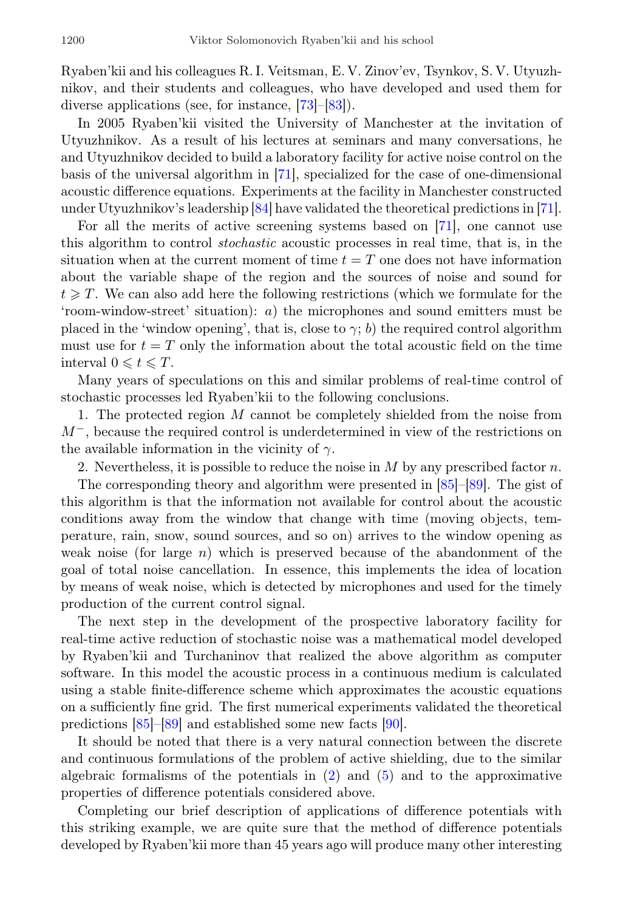Ryaben'kii and his colleagues R. I. Veitsman, E. V. Zinov'ev, Tsynkov, S. V. Utyuzhnikov, and their students and colleagues, who have developed and used them for diverse applications (see, for instance, [\[73\]](#page-25-7)–[\[83\]](#page-26-0)).

In 2005 Ryaben'kii visited the University of Manchester at the invitation of Utyuzhnikov. As a result of his lectures at seminars and many conversations, he and Utyuzhnikov decided to build a laboratory facility for active noise control on the basis of the universal algorithm in [\[71\]](#page-25-5), specialized for the case of one-dimensional acoustic difference equations. Experiments at the facility in Manchester constructed under Utyuzhnikov's leadership [\[84\]](#page-26-1) have validated the theoretical predictions in [\[71\]](#page-25-5).

For all the merits of active screening systems based on [\[71\]](#page-25-5), one cannot use this algorithm to control stochastic acoustic processes in real time, that is, in the situation when at the current moment of time  $t = T$  one does not have information about the variable shape of the region and the sources of noise and sound for  $t \geqslant T$ . We can also add here the following restrictions (which we formulate for the 'room-window-street' situation): a) the microphones and sound emitters must be placed in the 'window opening', that is, close to  $\gamma$ ; b) the required control algorithm must use for  $t = T$  only the information about the total acoustic field on the time interval  $0 \leq t \leq T$ .

Many years of speculations on this and similar problems of real-time control of stochastic processes led Ryaben'kii to the following conclusions.

1. The protected region M cannot be completely shielded from the noise from M<sup>−</sup>, because the required control is underdetermined in view of the restrictions on the available information in the vicinity of  $\gamma$ .

2. Nevertheless, it is possible to reduce the noise in  $M$  by any prescribed factor  $n$ .

The corresponding theory and algorithm were presented in [\[85\]](#page-26-2)–[\[89\]](#page-26-3). The gist of this algorithm is that the information not available for control about the acoustic conditions away from the window that change with time (moving objects, temperature, rain, snow, sound sources, and so on) arrives to the window opening as weak noise (for large  $n$ ) which is preserved because of the abandonment of the goal of total noise cancellation. In essence, this implements the idea of location by means of weak noise, which is detected by microphones and used for the timely production of the current control signal.

The next step in the development of the prospective laboratory facility for real-time active reduction of stochastic noise was a mathematical model developed by Ryaben'kii and Turchaninov that realized the above algorithm as computer software. In this model the acoustic process in a continuous medium is calculated using a stable finite-difference scheme which approximates the acoustic equations on a sufficiently fine grid. The first numerical experiments validated the theoretical predictions [\[85\]](#page-26-2)–[\[89\]](#page-26-3) and established some new facts [\[90\]](#page-26-4).

It should be noted that there is a very natural connection between the discrete and continuous formulations of the problem of active shielding, due to the similar algebraic formalisms of the potentials in [\(2\)](#page-6-2) and [\(5\)](#page-8-2) and to the approximative properties of difference potentials considered above.

Completing our brief description of applications of difference potentials with this striking example, we are quite sure that the method of difference potentials developed by Ryaben'kii more than 45 years ago will produce many other interesting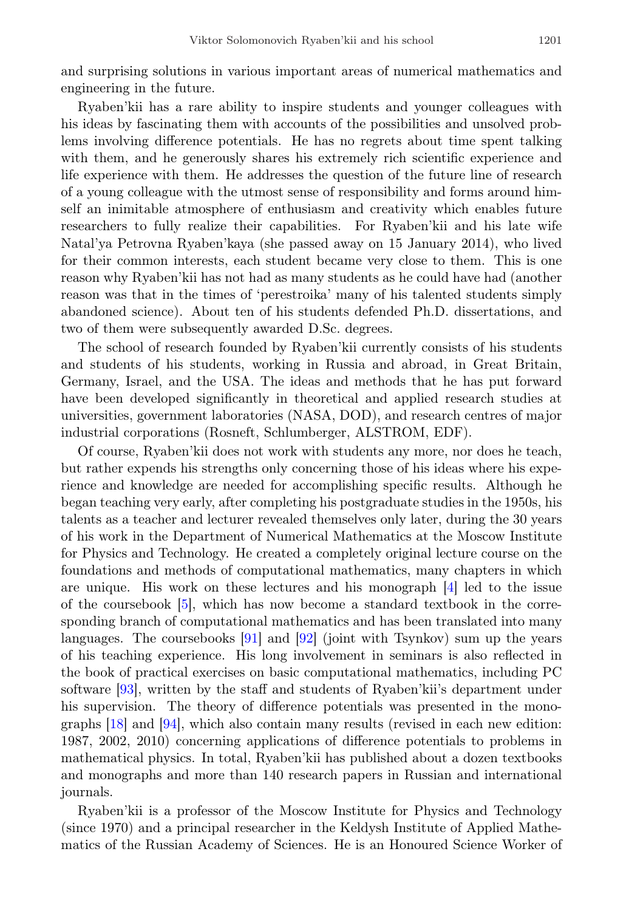and surprising solutions in various important areas of numerical mathematics and engineering in the future.

Ryaben'kii has a rare ability to inspire students and younger colleagues with his ideas by fascinating them with accounts of the possibilities and unsolved problems involving difference potentials. He has no regrets about time spent talking with them, and he generously shares his extremely rich scientific experience and life experience with them. He addresses the question of the future line of research of a young colleague with the utmost sense of responsibility and forms around himself an inimitable atmosphere of enthusiasm and creativity which enables future researchers to fully realize their capabilities. For Ryaben'kii and his late wife Natal'ya Petrovna Ryaben'kaya (she passed away on 15 January 2014), who lived for their common interests, each student became very close to them. This is one reason why Ryaben'kii has not had as many students as he could have had (another reason was that in the times of 'perestroika' many of his talented students simply abandoned science). About ten of his students defended Ph.D. dissertations, and two of them were subsequently awarded D.Sc. degrees.

The school of research founded by Ryaben'kii currently consists of his students and students of his students, working in Russia and abroad, in Great Britain, Germany, Israel, and the USA. The ideas and methods that he has put forward have been developed significantly in theoretical and applied research studies at universities, government laboratories (NASA, DOD), and research centres of major industrial corporations (Rosneft, Schlumberger, ALSTROM, EDF).

Of course, Ryaben'kii does not work with students any more, nor does he teach, but rather expends his strengths only concerning those of his ideas where his experience and knowledge are needed for accomplishing specific results. Although he began teaching very early, after completing his postgraduate studies in the 1950s, his talents as a teacher and lecturer revealed themselves only later, during the 30 years of his work in the Department of Numerical Mathematics at the Moscow Institute for Physics and Technology. He created a completely original lecture course on the foundations and methods of computational mathematics, many chapters in which are unique. His work on these lectures and his monograph [\[4\]](#page-19-3) led to the issue of the coursebook [\[5\]](#page-20-0), which has now become a standard textbook in the corresponding branch of computational mathematics and has been translated into many languages. The coursebooks [\[91\]](#page-26-5) and [\[92\]](#page-27-0) (joint with Tsynkov) sum up the years of his teaching experience. His long involvement in seminars is also reflected in the book of practical exercises on basic computational mathematics, including PC software [\[93\]](#page-27-1), written by the staff and students of Ryaben'kii's department under his supervision. The theory of difference potentials was presented in the monographs [\[18\]](#page-21-3) and [\[94\]](#page-27-2), which also contain many results (revised in each new edition: 1987, 2002, 2010) concerning applications of difference potentials to problems in mathematical physics. In total, Ryaben'kii has published about a dozen textbooks and monographs and more than 140 research papers in Russian and international journals.

Ryaben'kii is a professor of the Moscow Institute for Physics and Technology (since 1970) and a principal researcher in the Keldysh Institute of Applied Mathematics of the Russian Academy of Sciences. He is an Honoured Science Worker of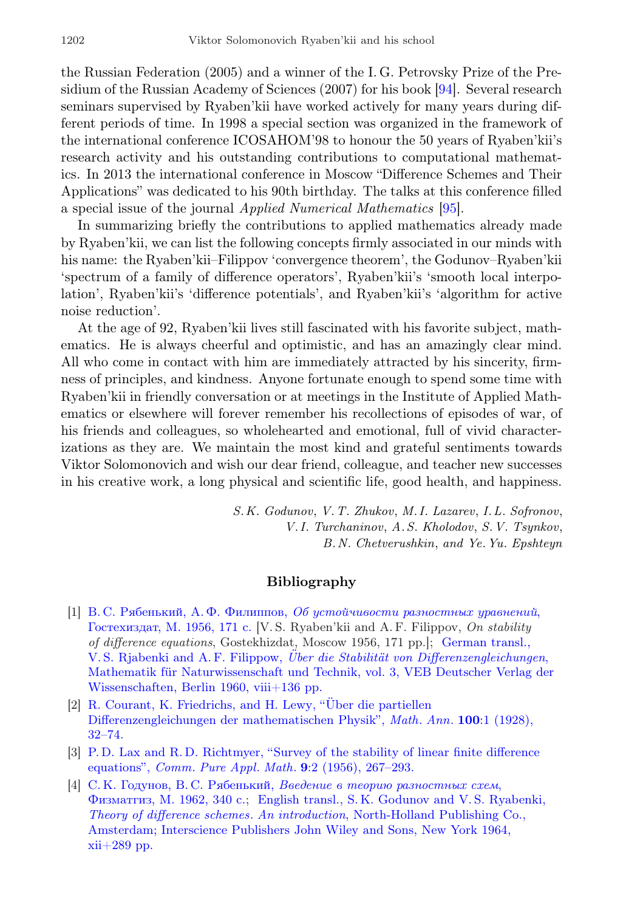the Russian Federation (2005) and a winner of the I. G. Petrovsky Prize of the Presidium of the Russian Academy of Sciences (2007) for his book [\[94\]](#page-27-2). Several research seminars supervised by Ryaben'kii have worked actively for many years during different periods of time. In 1998 a special section was organized in the framework of the international conference ICOSAHOM'98 to honour the 50 years of Ryaben'kii's research activity and his outstanding contributions to computational mathematics. In 2013 the international conference in Moscow "Difference Schemes and Their Applications" was dedicated to his 90th birthday. The talks at this conference filled a special issue of the journal Applied Numerical Mathematics [\[95\]](#page-27-3).

In summarizing briefly the contributions to applied mathematics already made by Ryaben'kii, we can list the following concepts firmly associated in our minds with his name: the Ryaben'kii–Filippov 'convergence theorem', the Godunov–Ryaben'kii 'spectrum of a family of difference operators', Ryaben'kii's 'smooth local interpolation', Ryaben'kii's 'difference potentials', and Ryaben'kii's 'algorithm for active noise reduction'.

At the age of 92, Ryaben'kii lives still fascinated with his favorite subject, mathematics. He is always cheerful and optimistic, and has an amazingly clear mind. All who come in contact with him are immediately attracted by his sincerity, firmness of principles, and kindness. Anyone fortunate enough to spend some time with Ryaben'kii in friendly conversation or at meetings in the Institute of Applied Mathematics or elsewhere will forever remember his recollections of episodes of war, of his friends and colleagues, so wholehearted and emotional, full of vivid characterizations as they are. We maintain the most kind and grateful sentiments towards Viktor Solomonovich and wish our dear friend, colleague, and teacher new successes in his creative work, a long physical and scientific life, good health, and happiness.

> S.K. Godunov, V.T. Zhukov, M.I. Lazarev, I.L. Sofronov, V.I. Turchaninov, A.S. Kholodov, S.V. Tsynkov, B.N. Chetverushkin, and Ye.Yu. Epshteyn

## Bibliography

- <span id="page-19-0"></span>[1] В. С. Рябенький, А. Ф. Филиппов, [Об устойчивости разностных уравнений](https://zbmath.org/?q=an:03122682), [Гостехиздат, М. 1956, 171 с.](https://zbmath.org/?q=an:03122682) [V. S. Ryaben'kii and A. F. Filippov, On stability of difference equations, Gostekhizdat, Moscow 1956, 171 pp.]; [German transl.,](https://zbmath.org/?q=an:0094.11306) V. S. Rjabenki and A. F. Filippow, Über die Stabilität von Differenzengleichungen, Mathematik für Naturwissenschaft und Technik, vol. 3, VEB Deutscher Verlag der [Wissenschaften, Berlin 1960, viii+136 pp.](https://zbmath.org/?q=an:0094.11306)
- <span id="page-19-1"></span>[2] R. Courant, K. Friedrichs, and H. Lewy, "Über die partiellen [Differenzengleichungen der mathematischen Physik",](http://dx.doi.org/10.1007/BF01448839) Math. Ann. 100:1 (1928), [32–74.](http://dx.doi.org/10.1007/BF01448839)
- <span id="page-19-2"></span>[3] [P. D. Lax and R. D. Richtmyer, "Survey of the stability of linear finite difference](http://dx.doi.org/10.1002/cpa.3160090206) equations", Comm. Pure Appl. Math. 9[:2 \(1956\), 267–293.](http://dx.doi.org/10.1002/cpa.3160090206)
- <span id="page-19-3"></span>[4] С. К. Годунов, В. С. Рябенький, [Введение в теорию разностных схем](https://zbmath.org/?q=an:03173963), [Физматгиз, М. 1962, 340 с.;](https://zbmath.org/?q=an:03173963) [English transl., S. K. Godunov and V. S. Ryabenki,](https://zbmath.org/?q=an:0116.33102) Theory of difference schemes. An introduction[, North-Holland Publishing Co.,](https://zbmath.org/?q=an:0116.33102) [Amsterdam; Interscience Publishers John Wiley and Sons, New York 1964,](https://zbmath.org/?q=an:0116.33102)  $xii+289$  pp.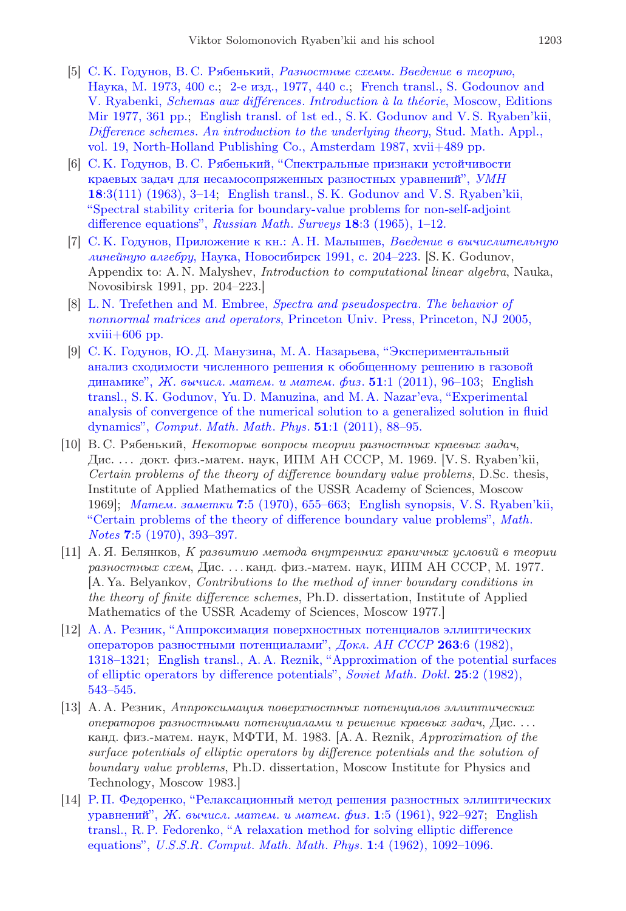- <span id="page-20-0"></span>[5] [С. К. Годунов, В. С. Рябенький,](https://zbmath.org/?q=an:03447980) Разностные схемы. Введение в теорию, [Наука, М. 1973, 400 с.;](https://zbmath.org/?q=an:03447980) [2-е изд., 1977, 440 с.;](http://www.ams.org/mathscinet-getitem?mr=0501716) [French transl., S. Godounov and](https://zbmath.org/?q=an:03583177) V. Ryabenki, Schemas aux différences. Introduction à la théorie, Moscow, Editions [Mir 1977, 361 pp.;](https://zbmath.org/?q=an:03583177) [English transl. of 1st ed., S. K. Godunov and V. S. Ryaben'kii,](https://zbmath.org/?q=an:03994964) Difference schemes. [An introduction to the underlying theory](https://zbmath.org/?q=an:03994964), Stud. Math. Appl., [vol. 19, North-Holland Publishing Co., Amsterdam 1987, xvii+489 pp.](https://zbmath.org/?q=an:03994964)
- <span id="page-20-1"></span>[6] [С. К. Годунов, В. С. Рябенький, "Спектральные признаки устойчивости](http://mi.mathnet.ru/eng/rm6349) [краевых задач для несамосопряженных разностных уравнений",](http://mi.mathnet.ru/eng/rm6349) УМН 18[:3\(111\) \(1963\), 3–14;](http://mi.mathnet.ru/eng/rm6349) [English transl., S. K. Godunov and V. S. Ryaben'kii,](http://dx.doi.org/10.1070/RM1963v018n03ABEH001136) ["Spectral stability criteria for boundary-value problems for non-self-adjoint](http://dx.doi.org/10.1070/RM1963v018n03ABEH001136) [difference equations",](http://dx.doi.org/10.1070/RM1963v018n03ABEH001136) Russian Math. Surveys 18:3 (1965), 1-12.
- <span id="page-20-2"></span>[7] [С. К. Годунов, Приложение к кн.: А. Н. Малышев,](https://zbmath.org/?q=an:0757.65020) Введение в вычислительную линейную алгебру[, Наука, Новосибирск 1991, с. 204–223.](https://zbmath.org/?q=an:0757.65020) [S. K. Godunov, Appendix to: A. N. Malyshev, Introduction to computational linear algebra, Nauka, Novosibirsk 1991, pp. 204–223.]
- <span id="page-20-3"></span>[8] [L. N. Trefethen and M. Embree,](https://zbmath.org/?q=an:02212009) Spectra and pseudospectra. The behavior of nonnormal matrices and operators[, Princeton Univ. Press, Princeton, NJ 2005,](https://zbmath.org/?q=an:02212009)  $xviii+606$  pp.
- <span id="page-20-4"></span>[9] [С. К. Годунов, Ю. Д. Манузина, М. А. Назарьева, "Экспериментальный](http://mi.mathnet.ru/eng/zvmmf8048) [анализ сходимости численного решения к обобщенному решению в газовой](http://mi.mathnet.ru/eng/zvmmf8048) динамике", Ж. вычисл. матем. и матем. физ.  $51:1$  (2011), 96-103; [English](http://dx.doi.org/10.1134/S0965542511010088) [transl., S. K. Godunov, Yu. D. Manuzina, and M. A. Nazar'eva, "Experimental](http://dx.doi.org/10.1134/S0965542511010088) [analysis of convergence of the numerical solution to a generalized solution in fluid](http://dx.doi.org/10.1134/S0965542511010088) dynamics", Comput. Math. Math. Phys. 51[:1 \(2011\), 88–95.](http://dx.doi.org/10.1134/S0965542511010088)
- <span id="page-20-5"></span>[10] В. С. Рябенький, Некоторые вопросы теории разностных краевых задач, Дис. . . . докт. физ.-матем. наук, ИПМ АН СССР, М. 1969. [V. S. Ryaben'kii, Certain problems of the theory of difference boundary value problems, D.Sc. thesis, Institute of Applied Mathematics of the USSR Academy of Sciences, Moscow 1969]; Матем. заметки 7[:5 \(1970\), 655–663;](http://mi.mathnet.ru/eng/mz9549) [English synopsis, V. S. Ryaben'kii,](http://dx.doi.org/10.1007/BF01123853) ["Certain problems of the theory of difference boundary value problems",](http://dx.doi.org/10.1007/BF01123853) Math. Notes 7[:5 \(1970\), 393–397.](http://dx.doi.org/10.1007/BF01123853)
- <span id="page-20-6"></span>[11] А. Я. Белянков, К развитию метода внутренних граничных условий в теории разностных схем, Дис. . . . канд. физ.-матем. наук, ИПМ АН СССР, М. 1977. [A. Ya. Belyankov, Contributions to the method of inner boundary conditions in the theory of finite difference schemes, Ph.D. dissertation, Institute of Applied Mathematics of the USSR Academy of Sciences, Moscow 1977.]
- <span id="page-20-7"></span>[12] [А. А. Резник, "Аппроксимация поверхностных потенциалов эллиптических](https://zbmath.org/?q=an:03891717) [операторов разностными потенциалами",](https://zbmath.org/?q=an:03891717) Докл. АН СССР 263:6 (1982), [1318–1321;](https://zbmath.org/?q=an:03891717) [English transl., A. A. Reznik, "Approximation of the potential surfaces](https://zbmath.org/?q=an:03891717) [of elliptic operators by difference potentials",](https://zbmath.org/?q=an:03891717) Soviet Math. Dokl. 25:2 (1982), [543–545.](https://zbmath.org/?q=an:03891717)
- <span id="page-20-8"></span>[13] А. А. Резник, Аппроксимация поверхностных потенциалов эллиптических операторов разностными потенциалами и решение краевых задач, Дис. . . . канд. физ.-матем. наук, МФТИ, М. 1983.  $[A, A, R]$  Reznik, Approximation of the surface potentials of elliptic operators by difference potentials and the solution of boundary value problems, Ph.D. dissertation, Moscow Institute for Physics and Technology, Moscow 1983.]
- <span id="page-20-9"></span>[14] [Р. П. Федоренко, "Релаксационный метод решения разностных эллиптических](http://mi.mathnet.ru/eng/zvmmf8014) уравнений", Ж. вычисл. матем. и матем. физ. 1[:5 \(1961\), 922–927;](http://mi.mathnet.ru/eng/zvmmf8014) [English](http://dx.doi.org/10.1016/0041-5553(62)90031-9) [transl., R. P. Fedorenko, "A relaxation method for solving elliptic difference](http://dx.doi.org/10.1016/0041-5553(62)90031-9) equations", U.S.S.R. Comput. Math. Math. Phys. 1[:4 \(1962\), 1092–1096.](http://dx.doi.org/10.1016/0041-5553(62)90031-9)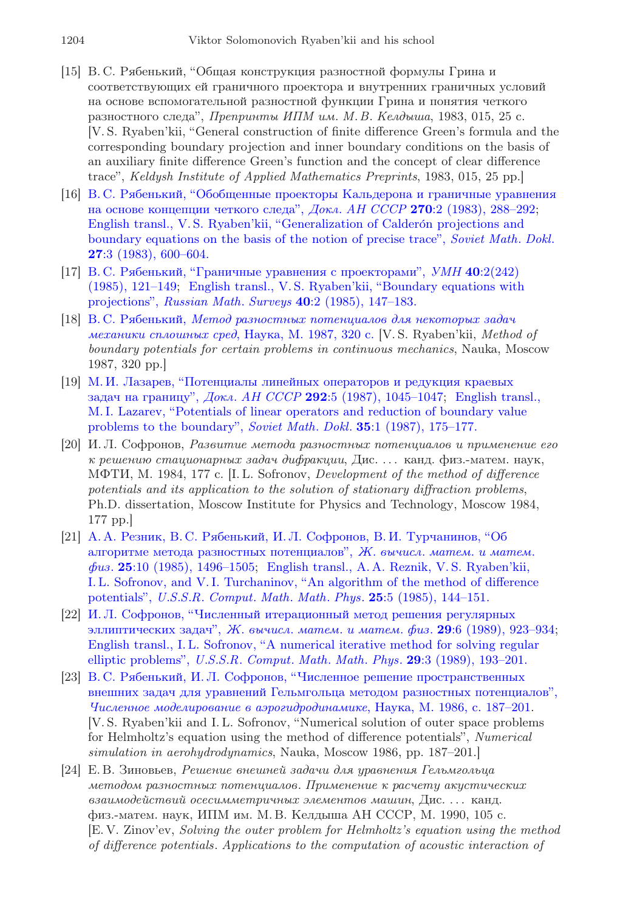- <span id="page-21-0"></span>[15] В. С. Рябенький, "Общая конструкция разностной формулы Грина и соответствующих ей граничного проектора и внутренних граничных условий на основе вспомогательной разностной функции Грина и понятия четкого разностного следа", Препринты ИПМ им. М.В. Келдыша, 1983, 015, 25 с. [V. S. Ryaben'kii, "General construction of finite difference Green's formula and the corresponding boundary projection and inner boundary conditions on the basis of an auxiliary finite difference Green's function and the concept of clear difference trace", Keldysh Institute of Applied Mathematics Preprints, 1983, 015, 25 pp.]
- <span id="page-21-1"></span>[16] [В. С. Рябенький, "Обобщенные проекторы Кальдерона и граничные уравнения](http://mi.mathnet.ru/eng/dan10083) [на основе концепции четкого следа",](http://mi.mathnet.ru/eng/dan10083) Докл. АН СССР 270:2 (1983), 288–29[2;](https://zbmath.org/?q=an:03856354) English transl., V. S. Ryaben'kii, "Generalization of Calderón projections and [boundary equations on the basis of the notion of precise trace",](https://zbmath.org/?q=an:03856354) Soviet Math. Dokl. 27[:3 \(1983\), 600–604.](https://zbmath.org/?q=an:03856354)
- <span id="page-21-2"></span>[17] [В. С. Рябенький, "Граничные уравнения с проекторами",](http://mi.mathnet.ru/eng/rm2393) УМН 40:2(242) [\(1985\), 121–149;](http://mi.mathnet.ru/eng/rm2393) [English transl., V. S. Ryaben'kii, "Boundary equations with](http://dx.doi.org/10.1070/RM1985v040n02ABEH003559) projections", Russian Math. Surveys 40[:2 \(1985\), 147–183.](http://dx.doi.org/10.1070/RM1985v040n02ABEH003559)
- <span id="page-21-3"></span>[18] В. С. Рябенький, [Метод разностных потенциалов для некоторых задач](https://zbmath.org/?q=an:04026959) [механики сплошных сред](https://zbmath.org/?q=an:04026959), Наука, М. 1987, 320 с. [V. S. Ryaben'kii, Method of boundary potentials for certain problems in continuous mechanics, Nauka, Moscow 1987, 320 pp.]
- <span id="page-21-4"></span>[19] [М. И. Лазарев, "Потенциалы линейных операторов и редукция краевых](http://mi.mathnet.ru/eng/dan8255) задач на границу", Докл. АН СССР 292:5 (1987), 1045-1047; [English transl.,](https://zbmath.org/?q=an:0639.35024) [M. I. Lazarev, "Potentials of linear operators and reduction of boundary value](https://zbmath.org/?q=an:0639.35024) [problems to the boundary",](https://zbmath.org/?q=an:0639.35024) Soviet Math. Dokl. 35:1 (1987), 175–177.
- <span id="page-21-5"></span>[20] И. Л. Софронов, Развитие метода разностных потенциалов и применение его к решению стационарных задач дифракции, Дис. . . . канд. физ.-матем. наук, МФТИ, М. 1984, 177 с. [I. L. Sofronov, Development of the method of difference potentials and its application to the solution of stationary diffraction problems, Ph.D. dissertation, Moscow Institute for Physics and Technology, Moscow 1984, 177 pp.]
- <span id="page-21-6"></span>[21] [А. А. Резник, В. С. Рябенький, И. Л. Софронов, В. И. Турчанинов, "Об](http://mi.mathnet.ru/eng/zvmmf4105) [алгоритме метода разностных потенциалов",](http://mi.mathnet.ru/eng/zvmmf4105) Ж. вычисл. матем. и матем. физ. 25[:10 \(1985\), 1496–1505;](http://mi.mathnet.ru/eng/zvmmf4105) [English transl., A. A. Reznik, V. S. Ryaben'kii,](http://dx.doi.org/10.1016/0041-5553(85)90192-2) [I. L. Sofronov, and V. I. Turchaninov, "An algorithm of the method of difference](http://dx.doi.org/10.1016/0041-5553(85)90192-2) potentials", U.S.S.R. Comput. Math. Math. Phys. 25[:5 \(1985\), 144–151.](http://dx.doi.org/10.1016/0041-5553(85)90192-2)
- <span id="page-21-7"></span>[22] [И. Л. Софронов, "Численный итерационный метод решения регулярных](http://mi.mathnet.ru/eng/zvmmf3438) [эллиптических задач",](http://mi.mathnet.ru/eng/zvmmf3438) Ж. вычисл. матем. и матем. физ.  $29:6$  (1989), 923-93[4;](http://dx.doi.org/10.1016/0041-5553(89)90167-5) [English transl., I. L. Sofronov, "A numerical iterative method for solving regular](http://dx.doi.org/10.1016/0041-5553(89)90167-5) elliptic problems", U.S.S.R. Comput. Math. Math. Phys. 29[:3 \(1989\), 193–201.](http://dx.doi.org/10.1016/0041-5553(89)90167-5)
- <span id="page-21-8"></span>[23] [В. С. Рябенький, И. Л. Софронов, "Численное решение пространственных](https://zbmath.org/?q=an:0624.35020) [внешних задач для уравнений Гельмгольца методом разностных потенциалов",](https://zbmath.org/?q=an:0624.35020) [Численное моделирование в аэрогидродинамике](https://zbmath.org/?q=an:0624.35020), Наука, М. 1986, с. 187–201. [V. S. Ryaben'kii and I. L. Sofronov, "Numerical solution of outer space problems for Helmholtz's equation using the method of difference potentials", Numerical simulation in aerohydrodynamics, Nauka, Moscow 1986, pp. 187–201.]
- <span id="page-21-9"></span>[24] Е. В. Зиновьев, Решение внешней задачи для уравнения Гельмгольца методом разностных потенциалов. Применение к расчету акустических взаимодействий осесимметричных элементов машин, Дис. . . . канд. физ.-матем. наук, ИПМ им. М. В. Келдыша АН СССР, М. 1990, 105 с. [E. V. Zinov'ev, Solving the outer problem for Helmholtz's equation using the method of difference potentials. Applications to the computation of acoustic interaction of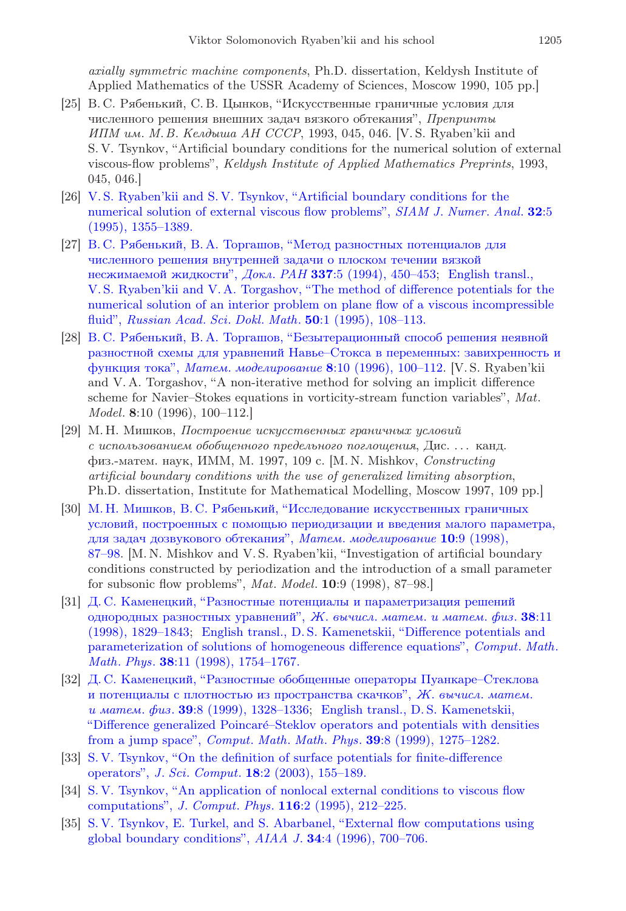axially symmetric machine components, Ph.D. dissertation, Keldysh Institute of Applied Mathematics of the USSR Academy of Sciences, Moscow 1990, 105 pp.]

- [25] В. С. Рябенький, С. В. Цынков, "Искусственные граничные условия для численного решения внешних задач вязкого обтекания", Препринты ИПМ им. М.В. Келдыша АН СССР, 1993, 045, 046. [V. S. Ryaben'kii and S. V. Tsynkov, "Artificial boundary conditions for the numerical solution of external viscous-flow problems", Keldysh Institute of Applied Mathematics Preprints, 1993, 045, 046.]
- [26] [V. S. Ryaben'kii and S. V. Tsynkov, "Artificial boundary conditions for the](http://dx.doi.org/10.1137/0732063) [numerical solution of external viscous flow problems",](http://dx.doi.org/10.1137/0732063) SIAM J. Numer. Anal. 32:5 [\(1995\), 1355–1389.](http://dx.doi.org/10.1137/0732063)
- [27] [В. С. Рябенький, В. А. Торгашов, "Метод разностных потенциалов для](http://mi.mathnet.ru/eng/dan4734) [численного решения внутренней задачи о плоском течении вязкой](http://mi.mathnet.ru/eng/dan4734) [несжимаемой жидкости",](http://mi.mathnet.ru/eng/dan4734) Докл. РАН 337:5 (1994), 450-453; [English transl.,](https://zbmath.org/?q=an:00862225) [V. S. Ryaben'kii and V. A. Torgashov, "The method of difference potentials for the](https://zbmath.org/?q=an:00862225) [numerical solution of an interior problem on plane flow of a viscous incompressible](https://zbmath.org/?q=an:00862225) fluid", Russian Acad. Sci. Dokl. Math. 50[:1 \(1995\), 108–113.](https://zbmath.org/?q=an:00862225)
- [28] [В. С. Рябенький, В. А. Торгашов, "Безытерационный способ решения неявной](http://mi.mathnet.ru/eng/mm1636) [разностной схемы для уравнений Навье–Стокса в переменных: завихренность и](http://mi.mathnet.ru/eng/mm1636) функция тока", Матем. моделирование 8[:10 \(1996\), 100–112.](http://mi.mathnet.ru/eng/mm1636) [V. S. Ryaben'kii and V. A. Torgashov, "A non-iterative method for solving an implicit difference scheme for Navier–Stokes equations in vorticity-stream function variables", Mat. Model. 8:10 (1996), 100–112.]
- [29] М. Н. Мишков, Построение искусственных граничных условий с использованием обобщенного предельного поглощения, Дис. . . . канд. физ.-матем. наук, ИММ, М. 1997, 109 с. [M. N. Mishkov, Constructing artificial boundary conditions with the use of generalized limiting absorption, Ph.D. dissertation, Institute for Mathematical Modelling, Moscow 1997, 109 pp.]
- <span id="page-22-0"></span>[30] [М. Н. Мишков, В. С. Рябенький, "Исследование искусственных граничных](http://mi.mathnet.ru/eng/mm1325) [условий, построенных с помощью периодизации и введения малого параметра,](http://mi.mathnet.ru/eng/mm1325) [для задач дозвукового обтекания",](http://mi.mathnet.ru/eng/mm1325) Матем. моделирование 10:9 (1998), [87–98.](http://mi.mathnet.ru/eng/mm1325) [M. N. Mishkov and V. S. Ryaben'kii, "Investigation of artificial boundary conditions constructed by periodization and the introduction of a small parameter for subsonic flow problems", Mat. Model. 10:9 (1998), 87–98.]
- <span id="page-22-1"></span>[31] [Д. С. Каменецкий, "Разностные потенциалы и параметризация решений](http://mi.mathnet.ru/eng/zvmmf1780) [однородных разностных уравнений",](http://mi.mathnet.ru/eng/zvmmf1780) Ж. вычисл. матем. и матем. физ.  $38:11$ [\(1998\), 1829–1843;](http://mi.mathnet.ru/eng/zvmmf1780) [English transl., D. S. Kamenetskii, "Difference potentials and](https://zbmath.org/?q=an:0968.31008) [parameterization of solutions of homogeneous difference equations",](https://zbmath.org/?q=an:0968.31008) Comput. Math. Math. Phys. 38[:11 \(1998\), 1754–1767.](https://zbmath.org/?q=an:0968.31008)
- <span id="page-22-2"></span>[32] [Д. С. Каменецкий, "Разностные обобщенные операторы Пуанкаре–Стеклова](http://mi.mathnet.ru/eng/zvmmf1630) [и потенциалы с плотностью из пространства скачков",](http://mi.mathnet.ru/eng/zvmmf1630) Ж. вычисл. матем. и матем. физ. 39[:8 \(1999\), 1328–1336;](http://mi.mathnet.ru/eng/zvmmf1630) [English transl., D. S. Kamenetskii,](https://zbmath.org/?q=an:0970.65108) ["Difference generalized Poincar´e–Steklov operators and potentials with densities](https://zbmath.org/?q=an:0970.65108) from a jump space", Comput. Math. Math. Phys. 39[:8 \(1999\), 1275–1282.](https://zbmath.org/?q=an:0970.65108)
- <span id="page-22-3"></span>[33] [S. V. Tsynkov, "On the definition of surface potentials for finite-difference](http://dx.doi.org/10.1023/A:1021111713715) operators", J. Sci. Comput. 18[:2 \(2003\), 155–189.](http://dx.doi.org/10.1023/A:1021111713715)
- <span id="page-22-4"></span>[34] [S. V. Tsynkov, "An application of nonlocal external conditions to viscous flow](http://dx.doi.org/10.1006/jcph.1995.1022) computations", J. Comput. Phys. 116[:2 \(1995\), 212–225.](http://dx.doi.org/10.1006/jcph.1995.1022)
- [35] [S. V. Tsynkov, E. Turkel, and S. Abarbanel, "External flow computations using](http://dx.doi.org/10.2514/3.13130) [global boundary conditions",](http://dx.doi.org/10.2514/3.13130)  $AIAA$  J.  $34:4$  (1996), 700–706.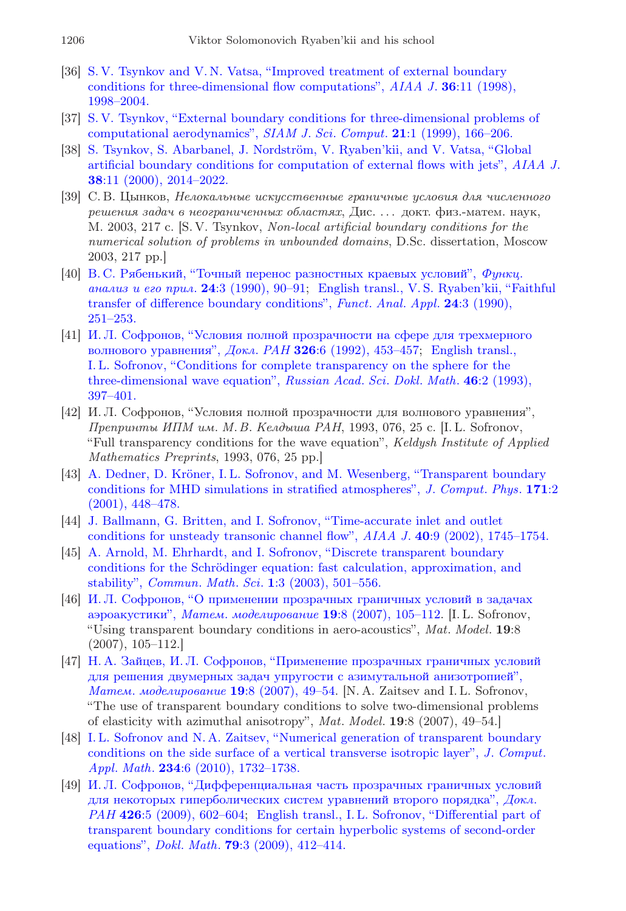- [36] [S. V. Tsynkov and V. N. Vatsa, "Improved treatment of external boundary](http://dx.doi.org/10.2514/2.327) [conditions for three-dimensional flow computations",](http://dx.doi.org/10.2514/2.327) AIAA J. 36:11 (1998), [1998–2004.](http://dx.doi.org/10.2514/2.327)
- [37] [S. V. Tsynkov, "External boundary conditions for three-dimensional problems of](http://dx.doi.org/10.1137/S1064827597318757) [computational aerodynamics",](http://dx.doi.org/10.1137/S1064827597318757) SIAM J. Sci. Comput. 21:1 (1999), 166–206.
- [38] S. Tsynkov, S. Abarbanel, J. Nordström, V. Ryaben'kii, and V. Vatsa, "Global [artificial boundary conditions for computation of external flows with jets",](http://dx.doi.org/10.2514/2.888) AIAA J. 38[:11 \(2000\), 2014–2022.](http://dx.doi.org/10.2514/2.888)
- <span id="page-23-0"></span>[39] С. В. Цынков, Нелокальные искусственные граничные условия для численного решения задач в неограниченных областях, Дис. . . . докт. физ.-матем. наук, М. 2003, 217 с. [S. V. Tsynkov, Non-local artificial boundary conditions for the numerical solution of problems in unbounded domains, D.Sc. dissertation, Moscow 2003, 217 pp.]
- <span id="page-23-1"></span>[40] [В. С. Рябенький, "Точный перенос разностных краевых условий",](http://mi.mathnet.ru/eng/faa970) Функц. [анализ и его прил](http://mi.mathnet.ru/eng/faa970). 24:3 (1990), 90–91; [English transl., V. S. Ryaben'kii, "Faithful](http://dx.doi.org/10.1007/BF01077977) [transfer of difference boundary conditions",](http://dx.doi.org/10.1007/BF01077977) Funct. Anal. Appl. 24:3 (1990), [251–253.](http://dx.doi.org/10.1007/BF01077977)
- <span id="page-23-2"></span>[41] [И. Л. Софронов, "Условия полной прозрачности на сфере для трехмерного](https://zbmath.org/?q=an:00497640) [волнового уравнения",](https://zbmath.org/?q=an:00497640) Докл. РАН 326:6 (1992), 453-457; [English transl.,](https://zbmath.org/?q=an:00497640) [I. L. Sofronov, "Conditions for complete transparency on the sphere for the](https://zbmath.org/?q=an:00497640) [three-dimensional wave equation",](https://zbmath.org/?q=an:00497640) Russian Acad. Sci. Dokl. Math. 46:2 (1993), [397–401.](https://zbmath.org/?q=an:00497640)
- <span id="page-23-3"></span>[42] И. Л. Софронов, "Условия полной прозрачности для волнового уравнения", Препринты ИПМ им. М.В. Келдыша РАН, 1993, 076, 25 с. [I. L. Sofronov, "Full transparency conditions for the wave equation", Keldysh Institute of Applied Mathematics Preprints, 1993, 076, 25 pp.]
- <span id="page-23-4"></span>[43] A. Dedner, D. Kröner, I. L. Sofronov, and M. Wesenberg, "Transparent boundary" [conditions for MHD simulations in stratified atmospheres",](http://dx.doi.org/10.1006/jcph.2001.6779) J. Comput. Phys. 171:2 [\(2001\), 448–478.](http://dx.doi.org/10.1006/jcph.2001.6779)
- [44] [J. Ballmann, G. Britten, and I. Sofronov, "Time-accurate inlet and outlet](http://dx.doi.org/10.2514/2.1879) [conditions for unsteady transonic channel flow",](http://dx.doi.org/10.2514/2.1879) AIAA J. 40:9 (2002), 1745–1754.
- [45] [A. Arnold, M. Ehrhardt, and I. Sofronov, "Discrete transparent boundary](http://dx.doi.org/10.4310/CMS.2003.v1.n3.a7) conditions for the Schrödinger equation: fast calculation, approximation, and stability", Commun. Math. Sci. 1[:3 \(2003\), 501–556.](http://dx.doi.org/10.4310/CMS.2003.v1.n3.a7)
- <span id="page-23-5"></span>[46] [И. Л. Софронов, "О применении прозрачных граничных условий в задачах](http://mi.mathnet.ru/eng/mm1108) аэроакустики", Матем. моделирование 19:8 (2007), 105-112. [I. L. Sofronov, "Using transparent boundary conditions in aero-acoustics", Mat. Model. 19:8 (2007), 105–112.]
- <span id="page-23-6"></span>[47] [Н. А. Зайцев, И. Л. Софронов, "Применение прозрачных граничных условий](http://mi.mathnet.ru/eng/mm1101) [для решения двумерных задач упругости с азимутальной анизотропией",](http://mi.mathnet.ru/eng/mm1101) Матем. моделирование 19[:8 \(2007\), 49–54.](http://mi.mathnet.ru/eng/mm1101) [N. A. Zaitsev and I. L. Sofronov, "The use of transparent boundary conditions to solve two-dimensional problems of elasticity with azimuthal anisotropy", Mat. Model. 19:8 (2007), 49–54.]
- <span id="page-23-7"></span>[48] [I. L. Sofronov and N. A. Zaitsev, "Numerical generation of transparent boundary](http://dx.doi.org/10.1016/j.cam.2009.08.022) [conditions on the side surface of a vertical transverse isotropic layer",](http://dx.doi.org/10.1016/j.cam.2009.08.022) J. Comput. Appl. Math. 234[:6 \(2010\), 1732–1738.](http://dx.doi.org/10.1016/j.cam.2009.08.022)
- <span id="page-23-8"></span>[49] [И. Л. Софронов, "Дифференциальная часть прозрачных граничных условий](http://mi.mathnet.ru/eng/dan40) [для некоторых гиперболических систем уравнений второго порядка",](http://mi.mathnet.ru/eng/dan40) Докл. РАН 426[:5 \(2009\), 602–604;](http://mi.mathnet.ru/eng/dan40) [English transl., I. L. Sofronov, "Differential part of](https://zbmath.org/?q=an:1183.35195) [transparent boundary conditions for certain hyperbolic systems of second-order](https://zbmath.org/?q=an:1183.35195) equations", Dokl. Math. 79[:3 \(2009\), 412–414.](https://zbmath.org/?q=an:1183.35195)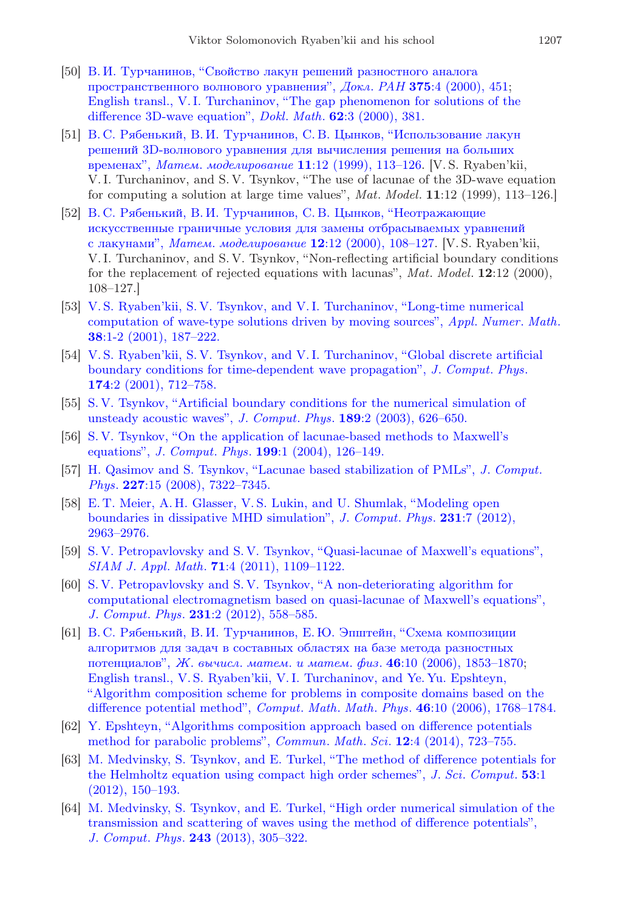- <span id="page-24-0"></span>[50] [В. И. Турчанинов, "Свойство лакун решений разностного аналога](https://zbmath.org/?q=an:02074717) [пространственного волнового уравнения",](https://zbmath.org/?q=an:02074717) Докл. РАН 375:4 (2000), 45[1;](https://zbmath.org/?q=an:02074717) [English transl., V. I. Turchaninov, "The gap phenomenon for solutions of the](https://zbmath.org/?q=an:02074717) [difference 3D-wave equation",](https://zbmath.org/?q=an:02074717) *Dokl. Math.* **62**:3 (2000), 381.
- <span id="page-24-1"></span>[51] [В. С. Рябенький, В. И. Турчанинов, С. В. Цынков, "Использование лакун](http://mi.mathnet.ru/eng/mm1196) [решений 3D-волнового уравнения для вычисления решения на больших](http://mi.mathnet.ru/eng/mm1196) временах", Матем. моделирование 11[:12 \(1999\), 113–126.](http://mi.mathnet.ru/eng/mm1196) [V. S. Ryaben'kii, V. I. Turchaninov, and S. V. Tsynkov, "The use of lacunae of the 3D-wave equation for computing a solution at large time values", Mat. Model. 11:12 (1999), 113–126.]
- [52] [В. С. Рябенький, В. И. Турчанинов, С. В. Цынков, "Неотражающие](http://mi.mathnet.ru/eng/mm1047) [искусственные граничные условия для замены отбрасываемых уравнений](http://mi.mathnet.ru/eng/mm1047) с лакунами", Матем. моделирование 12[:12 \(2000\), 108–127.](http://mi.mathnet.ru/eng/mm1047) [V. S. Ryaben'kii, V. I. Turchaninov, and S. V. Tsynkov, "Non-reflecting artificial boundary conditions for the replacement of rejected equations with lacunas", Mat. Model. 12:12 (2000), 108–127.]
- [53] [V. S. Ryaben'kii, S. V. Tsynkov, and V. I. Turchaninov, "Long-time numerical](http://dx.doi.org/10.1016/S0168-9274(01)00038-1) [computation of wave-type solutions driven by moving sources",](http://dx.doi.org/10.1016/S0168-9274(01)00038-1) Appl. Numer. Math. 38[:1-2 \(2001\), 187–222.](http://dx.doi.org/10.1016/S0168-9274(01)00038-1)
- <span id="page-24-2"></span>[54] [V. S. Ryaben'kii, S. V. Tsynkov, and V. I. Turchaninov, "Global discrete artificial](http://dx.doi.org/10.1006/jcph.2001.6936) [boundary conditions for time-dependent wave propagation",](http://dx.doi.org/10.1006/jcph.2001.6936) J. Comput. Phys. 174[:2 \(2001\), 712–758.](http://dx.doi.org/10.1006/jcph.2001.6936)
- <span id="page-24-3"></span>[55] [S. V. Tsynkov, "Artificial boundary conditions for the numerical simulation of](http://dx.doi.org/10.1016/S0021-9991(03)00249-3) [unsteady acoustic waves",](http://dx.doi.org/10.1016/S0021-9991(03)00249-3) J. Comput. Phys. 189:2 (2003), 626–650.
- [56] [S. V. Tsynkov, "On the application of lacunae-based methods to Maxwell's](http://dx.doi.org/10.1016/j.jcp.2004.02.003) equations", J. Comput. Phys. 199[:1 \(2004\), 126–149.](http://dx.doi.org/10.1016/j.jcp.2004.02.003)
- [57] [H. Qasimov and S. Tsynkov, "Lacunae based stabilization of PMLs",](http://dx.doi.org/10.1016/j.jcp.2008.04.018) J. Comput. Phys. 227[:15 \(2008\), 7322–7345.](http://dx.doi.org/10.1016/j.jcp.2008.04.018)
- <span id="page-24-4"></span>[58] [E. T. Meier, A. H. Glasser, V. S. Lukin, and U. Shumlak, "Modeling open](http://dx.doi.org/10.1016/j.jcp.2012.01.003) [boundaries in dissipative MHD simulation",](http://dx.doi.org/10.1016/j.jcp.2012.01.003) J. Comput. Phys. 231:7 (2012), [2963–2976.](http://dx.doi.org/10.1016/j.jcp.2012.01.003)
- <span id="page-24-5"></span>[59] [S. V. Petropavlovsky and S. V. Tsynkov, "Quasi-lacunae of Maxwell's equations",](http://dx.doi.org/10.1137/100798041) SIAM J. Appl. Math. 71[:4 \(2011\), 1109–1122.](http://dx.doi.org/10.1137/100798041)
- <span id="page-24-6"></span>[60] [S. V. Petropavlovsky and S. V. Tsynkov, "A non-deteriorating algorithm for](http://dx.doi.org/10.1016/j.jcp.2011.09.019) [computational electromagnetism based on quasi-lacunae of Maxwell's equations",](http://dx.doi.org/10.1016/j.jcp.2011.09.019) J. Comput. Phys. 231[:2 \(2012\), 558–585.](http://dx.doi.org/10.1016/j.jcp.2011.09.019)
- <span id="page-24-7"></span>[61] [В. С. Рябенький, В. И. Турчанинов, Е.Ю. Эпштейн, "Схема композиции](http://mi.mathnet.ru/eng/zvmmf403) [алгоритмов для задач в составных областях на базе метода разностных](http://mi.mathnet.ru/eng/zvmmf403) потенциалов", Ж. вычисл. матем. и матем. физ.  $46:10$  (2006), 1853-1870[;](http://dx.doi.org/10.1134/S0965542506100137) [English transl., V. S. Ryaben'kii, V. I. Turchaninov, and Ye. Yu. Epshteyn,](http://dx.doi.org/10.1134/S0965542506100137) ["Algorithm composition scheme for problems in composite domains based on the](http://dx.doi.org/10.1134/S0965542506100137) [difference potential method",](http://dx.doi.org/10.1134/S0965542506100137) Comput. Math. Math. Phys. 46:10 (2006), 1768-1784.
- <span id="page-24-8"></span>[62] [Y. Epshteyn, "Algorithms composition approach based on difference potentials](http://dx.doi.org/10.4310/CMS.2014.v12.n4.a7) [method for parabolic problems",](http://dx.doi.org/10.4310/CMS.2014.v12.n4.a7) Commun. Math. Sci. 12:4 (2014), 723–755.
- <span id="page-24-9"></span>[63] [M. Medvinsky, S. Tsynkov, and E. Turkel, "The method of difference potentials for](http://dx.doi.org/10.1007/s10915-012-9602-y) [the Helmholtz equation using compact high order schemes",](http://dx.doi.org/10.1007/s10915-012-9602-y) J. Sci. Comput. 53:1 [\(2012\), 150–193.](http://dx.doi.org/10.1007/s10915-012-9602-y)
- [64] [M. Medvinsky, S. Tsynkov, and E. Turkel, "High order numerical simulation of the](http://dx.doi.org/10.1016/j.jcp.2013.03.014) [transmission and scattering of waves using the method of difference potentials",](http://dx.doi.org/10.1016/j.jcp.2013.03.014) J. Comput. Phys. 243 [\(2013\), 305–322.](http://dx.doi.org/10.1016/j.jcp.2013.03.014)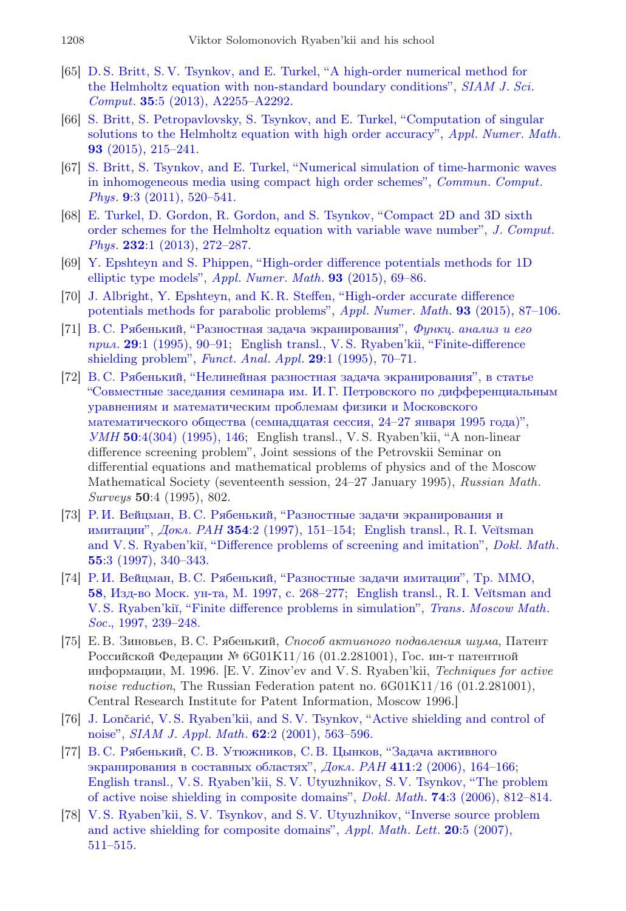- [65] [D. S. Britt, S. V. Tsynkov, and E. Turkel, "A high-order numerical method for](http://dx.doi.org/10.1137/120902689) [the Helmholtz equation with non-standard boundary conditions",](http://dx.doi.org/10.1137/120902689) SIAM J. Sci. Comput. 35[:5 \(2013\), A2255–A2292.](http://dx.doi.org/10.1137/120902689)
- <span id="page-25-0"></span>[66] [S. Britt, S. Petropavlovsky, S. Tsynkov, and E. Turkel, "Computation of singular](http://dx.doi.org/10.1016/j.apnum.2014.10.006) [solutions to the Helmholtz equation with high order accuracy",](http://dx.doi.org/10.1016/j.apnum.2014.10.006) Appl. Numer. Math. 93 [\(2015\), 215–241.](http://dx.doi.org/10.1016/j.apnum.2014.10.006)
- <span id="page-25-1"></span>[67] [S. Britt, S. Tsynkov, and E. Turkel, "Numerical simulation of time-harmonic waves](http://dx.doi.org/10.4208/cicp.091209.080410s) [in inhomogeneous media using compact high order schemes",](http://dx.doi.org/10.4208/cicp.091209.080410s) Commun. Comput. Phys. 9[:3 \(2011\), 520–541.](http://dx.doi.org/10.4208/cicp.091209.080410s)
- <span id="page-25-2"></span>[68] [E. Turkel, D. Gordon, R. Gordon, and S. Tsynkov, "Compact 2D and 3D sixth](http://dx.doi.org/10.1016/j.jcp.2012.08.016) [order schemes for the Helmholtz equation with variable wave number",](http://dx.doi.org/10.1016/j.jcp.2012.08.016) J. Comput. Phys. 232[:1 \(2013\), 272–287.](http://dx.doi.org/10.1016/j.jcp.2012.08.016)
- <span id="page-25-3"></span>[69] [Y. Epshteyn and S. Phippen, "High-order difference potentials methods for 1D](http://dx.doi.org/10.1016/j.apnum.2014.02.005) [elliptic type models",](http://dx.doi.org/10.1016/j.apnum.2014.02.005) Appl. Numer. Math. 93 (2015), 69–86.
- <span id="page-25-4"></span>[70] [J. Albright, Y. Epshteyn, and K. R. Steffen, "High-order accurate difference](http://dx.doi.org/10.1016/j.apnum.2014.08.002) [potentials methods for parabolic problems",](http://dx.doi.org/10.1016/j.apnum.2014.08.002) Appl. Numer. Math. 93 (2015), 87–106.
- <span id="page-25-5"></span>[71] [В. С. Рябенький, "Разностная задача экранирования",](http://mi.mathnet.ru/eng/faa572) Функц. анализ и его прил. 29[:1 \(1995\), 90–91;](http://mi.mathnet.ru/eng/faa572) [English transl., V. S. Ryaben'kii, "Finite-difference](http://dx.doi.org/10.1007/BF01077046) [shielding problem",](http://dx.doi.org/10.1007/BF01077046) Funct. Anal. Appl. 29:1 (1995), 70–71.
- <span id="page-25-6"></span>[72] [В. С. Рябенький, "Нелинейная разностная задача экранирования", в статье](http://dx.doi.org/10.1070/RM1995v050n04ABEH002581) ["Совместные заседания семинара им. И. Г. Петровского по дифференциальным](http://dx.doi.org/10.1070/RM1995v050n04ABEH002581) [уравнениям и математическим проблемам физики и Московского](http://dx.doi.org/10.1070/RM1995v050n04ABEH002581) [математического общества \(семнадцатая сессия, 24–27 января 1995 года\)",](http://dx.doi.org/10.1070/RM1995v050n04ABEH002581) УМН 50[:4\(304\) \(1995\), 146;](http://dx.doi.org/10.1070/RM1995v050n04ABEH002581) English transl., V. S. Ryaben'kii, "A non-linear difference screening problem", Joint sessions of the Petrovskii Seminar on differential equations and mathematical problems of physics and of the Moscow Mathematical Society (seventeenth session, 24–27 January 1995), Russian Math. Surveys 50:4 (1995), 802.
- <span id="page-25-7"></span>[73] [Р. И. Вейцман, В. С. Рябенький, "Разностные задачи экранирования и](http://mi.mathnet.ru/eng/dan3767) имитации",  $J$ окл. РАН 354[:2 \(1997\), 151–154;](http://mi.mathnet.ru/eng/dan3767) English transl., R.I. Veĭtsman and V.S. Ryaben'kiĭ, "Difference problems of screening and imitation", Dokl. Math. 55[:3 \(1997\), 340–343.](https://zbmath.org/?q=an:01564382)
- [74] [Р. И. Вейцман, В. С. Рябенький, "Разностные задачи имитации", Тр. ММО,](https://zbmath.org/?q=an:01132882) 58[, Изд-во Моск. ун-та, М. 1997, с. 268–277;](https://zbmath.org/?q=an:01132882) English transl., R. I. Veĭtsman and V. S. Ryaben'kiĭ, "Finite difference problems in simulation", *Trans. Moscow Math.* Soc[., 1997, 239–248.](https://zbmath.org/?q=an:01132882)
- [75] Е. В. Зиновьев, В. С. Рябенький, Способ активного подавления шума, Патент Российской Федерации № 6G01K11/16 (01.2.281001), Гос. ин-т патентной информации, М. 1996. [E. V. Zinov'ev and V. S. Ryaben'kii, Techniques for active noise reduction, The Russian Federation patent no.  $6G01K11/16$  (01.2.281001), Central Research Institute for Patent Information, Moscow 1996.]
- [76] J. Lončarić, V. S. Ryaben'kii, and S. V. Tsynkov, "Active shielding and control of noise", SIAM J. Appl. Math. 62[:2 \(2001\), 563–596.](http://dx.doi.org/10.1137/S0036139900367589)
- [77] [В. С. Рябенький, С. В. Утюжников, С. В. Цынков, "Задача активного](http://mi.mathnet.ru/eng/dan796) [экранирования в составных областях",](http://mi.mathnet.ru/eng/dan796) Докл. РАН 411:2 (2006), 164-16[6;](http://dx.doi.org/10.1134/S106456240606007X) [English transl., V. S. Ryaben'kii, S. V. Utyuzhnikov, S. V. Tsynkov, "The problem](http://dx.doi.org/10.1134/S106456240606007X) [of active noise shielding in composite domains",](http://dx.doi.org/10.1134/S106456240606007X) Dokl. Math. 74:3 (2006), 812–814.
- [78] [V. S. Ryaben'kii, S. V. Tsynkov, and S. V. Utyuzhnikov, "Inverse source problem](http://dx.doi.org/10.1016/j.aml.2006.05.019) [and active shielding for composite domains",](http://dx.doi.org/10.1016/j.aml.2006.05.019)  $Appl. Math. Lett. 20:5 (2007),$ [511–515.](http://dx.doi.org/10.1016/j.aml.2006.05.019)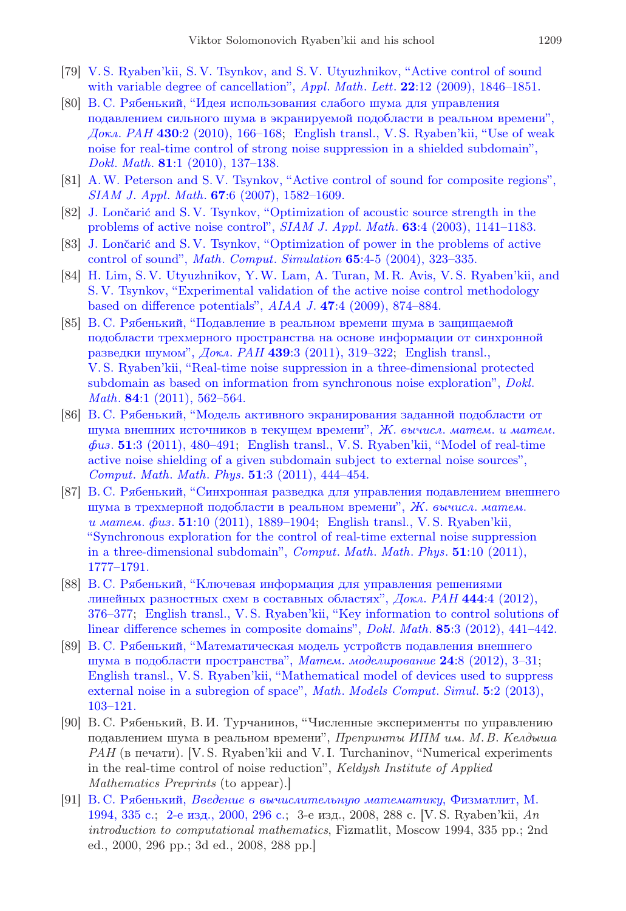- [79] [V. S. Ryaben'kii, S. V. Tsynkov, and S. V. Utyuzhnikov, "Active control of sound](http://dx.doi.org/10.1016/j.aml.2009.07.010) [with variable degree of cancellation",](http://dx.doi.org/10.1016/j.aml.2009.07.010) Appl. Math. Lett. **22**:12 (2009), 1846–1851.
- [80] [В. С. Рябенький, "Идея использования слабого шума для управления](https://zbmath.org/?q=an:1207.93066) [подавлением сильного шума в экранируемой подобласти в реальном времени",](https://zbmath.org/?q=an:1207.93066) Докл. РАН 430[:2 \(2010\), 166–168;](https://zbmath.org/?q=an:1207.93066) [English transl., V. S. Ryaben'kii, "Use of weak](http://dx.doi.org/10.1134/S1064562410010370) [noise for real-time control of strong noise suppression in a shielded subdomain",](http://dx.doi.org/10.1134/S1064562410010370) Dokl. Math. 81[:1 \(2010\), 137–138.](http://dx.doi.org/10.1134/S1064562410010370)
- [81] [A.W. Peterson and S. V. Tsynkov, "Active control of sound for composite regions",](http://dx.doi.org/10.1137/060662368) SIAM J. Appl. Math. 67[:6 \(2007\), 1582–1609.](http://dx.doi.org/10.1137/060662368)
- [82] J. Lončarić and S. V. Tsynkov, "Optimization of acoustic source strength in the [problems of active noise control",](http://dx.doi.org/10.1137/S0036139902404220) SIAM J. Appl. Math. 63:4 (2003), 1141-1183.
- <span id="page-26-0"></span>[83] J. Lončarić and S. V. Tsynkov, "Optimization of power in the problems of active control of sound", Math. Comput. Simulation 65[:4-5 \(2004\), 323–335.](http://dx.doi.org/10.1016/j.matcom.2004.01.005)
- <span id="page-26-1"></span>[84] [H. Lim, S. V. Utyuzhnikov, Y.W. Lam, A. Turan, M. R. Avis, V. S. Ryaben'kii, and](http://dx.doi.org/10.2514/1.32496) [S. V. Tsynkov, "Experimental validation of the active noise control methodology](http://dx.doi.org/10.2514/1.32496) [based on difference potentials",](http://dx.doi.org/10.2514/1.32496) AIAA J. 47:4 (2009), 874–884.
- <span id="page-26-2"></span>[85] [В. С. Рябенький, "Подавление в реальном времени шума в защищаемой](https://zbmath.org/?q=an:1233.39003) [подобласти трехмерного пространства на основе информации от синхронной](https://zbmath.org/?q=an:1233.39003) [разведки шумом",](https://zbmath.org/?q=an:1233.39003) Докл. РАН 439:3 (2011), 319-322; [English transl.,](http://dx.doi.org/10.1134/S1064562411040181) [V. S. Ryaben'kii, "Real-time noise suppression in a three-dimensional protected](http://dx.doi.org/10.1134/S1064562411040181) [subdomain as based on information from synchronous noise exploration",](http://dx.doi.org/10.1134/S1064562411040181) Dokl. Math. **84**:1 (2011), 562-564.
- [86] [В. С. Рябенький, "Модель активного экранирования заданной подобласти от](http://mi.mathnet.ru/eng/zvmmf8085) [шума внешних источников в текущем времени",](http://mi.mathnet.ru/eng/zvmmf8085) Ж. вычисл. матем. и матем.  $\phi u$ s. 51[:3 \(2011\), 480–491;](http://mi.mathnet.ru/eng/zvmmf8085) English transl., V.S. Ryaben'kii, "Model of real-time [active noise shielding of a given subdomain subject to external noise sources",](http://dx.doi.org/10.1134/S0965542511030092) Comput. Math. Math. Phys. 51[:3 \(2011\), 444–454.](http://dx.doi.org/10.1134/S0965542511030092)
- [87] [В. С. Рябенький, "Синхронная разведка для управления подавлением внешнего](http://mi.mathnet.ru/eng/zvmmf9563) [шума в трехмерной подобласти в реальном времени",](http://mi.mathnet.ru/eng/zvmmf9563) Ж. вычисл. матем. и матем. физ. 51[:10 \(2011\), 1889–1904;](http://mi.mathnet.ru/eng/zvmmf9563) [English transl., V. S. Ryaben'kii,](http://dx.doi.org/10.1134/S0965542511100113) ["Synchronous exploration for the control of real-time external noise suppression](http://dx.doi.org/10.1134/S0965542511100113) [in a three-dimensional subdomain",](http://dx.doi.org/10.1134/S0965542511100113) Comput. Math. Math. Phys. 51:10 (2011), [1777–1791.](http://dx.doi.org/10.1134/S0965542511100113)
- [88] [В. С. Рябенький, "Ключевая информация для управления решениями](https://zbmath.org/?q=an:1255.65121) [линейных разностных схем в составных областях",](https://zbmath.org/?q=an:1255.65121) Докл. РАН 444:4 (2012), [376–377;](https://zbmath.org/?q=an:1255.65121) [English transl., V. S. Ryaben'kii, "Key information to control solutions of](http://dx.doi.org/10.1134/S1064562412030246) [linear difference schemes in composite domains",](http://dx.doi.org/10.1134/S1064562412030246) Dokl. Math. 85:3 (2012), 441–442.
- <span id="page-26-3"></span>[89] [В. С. Рябенький, "Математическая модель устройств подавления внешнего](http://mi.mathnet.ru/eng/mm3298) [шума в подобласти пространства",](http://mi.mathnet.ru/eng/mm3298) Матем. моделирование 24:8 (2012), 3–3[1;](http://dx.doi.org/10.1134/S2070048213020063) [English transl., V. S. Ryaben'kii, "Mathematical model of devices used to suppress](http://dx.doi.org/10.1134/S2070048213020063) [external noise in a subregion of space",](http://dx.doi.org/10.1134/S2070048213020063) Math. Models Comput. Simul. 5:2 (2013), [103–121.](http://dx.doi.org/10.1134/S2070048213020063)
- <span id="page-26-4"></span>[90] В. С. Рябенький, В. И. Турчанинов, "Численные эксперименты по управлению подавлением шума в реальном времени", Препринты ИПМ им. М.В. Келдыша РАН (в печати). [V. S. Ryaben'kii and V. I. Turchaninov, "Numerical experiments in the real-time control of noise reduction", Keldysh Institute of Applied Mathematics Preprints (to appear).]
- <span id="page-26-5"></span>[91] В. С. Рябенький, [Введение в вычислительную математику](https://zbmath.org/?q=an:00052274), Физматлит, М. [1994, 335 с.;](https://zbmath.org/?q=an:00052274) [2-е изд., 2000, 296 с.;](https://zbmath.org/?q=an:01655950) 3-е изд., 2008, 288 с. [V. S. Ryaben'kii, An introduction to computational mathematics, Fizmatlit, Moscow 1994, 335 pp.; 2nd ed., 2000, 296 pp.; 3d ed., 2008, 288 pp.]